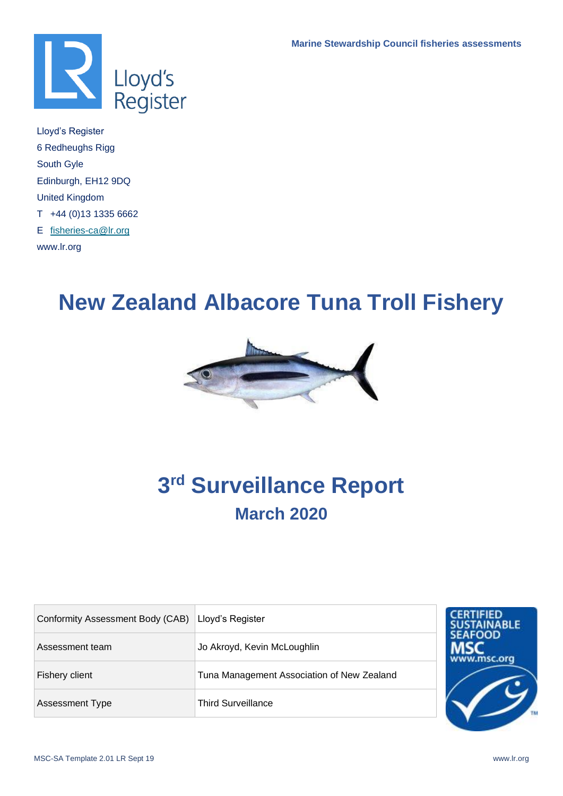

Lloyd's Register 6 Redheughs Rigg South Gyle Edinburgh, EH12 9DQ United Kingdom T +44 (0)13 1335 6662 E [fisheries-ca@lr.org](mailto:fisheries-ca@lr.org)  www.lr.org

# **New Zealand Albacore Tuna Troll Fishery**



# **3 rd Surveillance Report March 2020**

| Conformity Assessment Body (CAB) | Lloyd's Register                           | <b>CERTIFIED</b><br><b>SUSTAINABLE</b> |
|----------------------------------|--------------------------------------------|----------------------------------------|
| Assessment team                  | Jo Akroyd, Kevin McLoughlin                | <b>SEAFOOD</b><br>www.msc.org          |
| Fishery client                   | Tuna Management Association of New Zealand |                                        |
| <b>Assessment Type</b>           | <b>Third Surveillance</b>                  |                                        |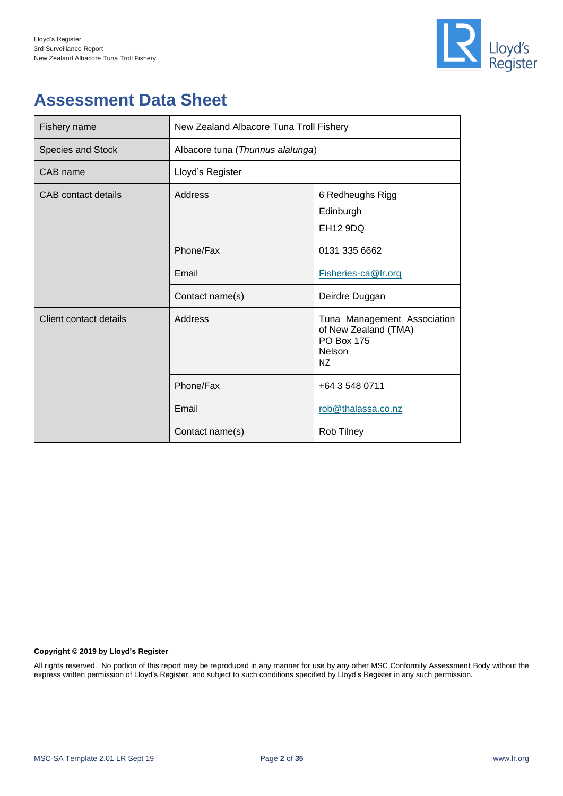

## **Assessment Data Sheet**

| Fishery name           | New Zealand Albacore Tuna Troll Fishery |                                                                                          |  |  |
|------------------------|-----------------------------------------|------------------------------------------------------------------------------------------|--|--|
| Species and Stock      | Albacore tuna (Thunnus alalunga)        |                                                                                          |  |  |
| CAB name               | Lloyd's Register                        |                                                                                          |  |  |
| CAB contact details    | Address                                 | 6 Redheughs Rigg<br>Edinburgh<br><b>EH12 9DQ</b>                                         |  |  |
|                        | Phone/Fax                               | 0131 335 6662                                                                            |  |  |
|                        | Email                                   | Fisheries-ca@Ir.org                                                                      |  |  |
|                        | Contact name(s)                         | Deirdre Duggan                                                                           |  |  |
| Client contact details | Address                                 | Tuna Management Association<br>of New Zealand (TMA)<br><b>PO Box 175</b><br>Nelson<br>NZ |  |  |
|                        | Phone/Fax                               | +64 3 548 0711                                                                           |  |  |
|                        | Email                                   | rob@thalassa.co.nz                                                                       |  |  |
|                        | Contact name(s)                         | Rob Tilney                                                                               |  |  |

#### **Copyright © 2019 by Lloyd's Register**

All rights reserved. No portion of this report may be reproduced in any manner for use by any other MSC Conformity Assessment Body without the express written permission of Lloyd's Register, and subject to such conditions specified by Lloyd's Register in any such permission.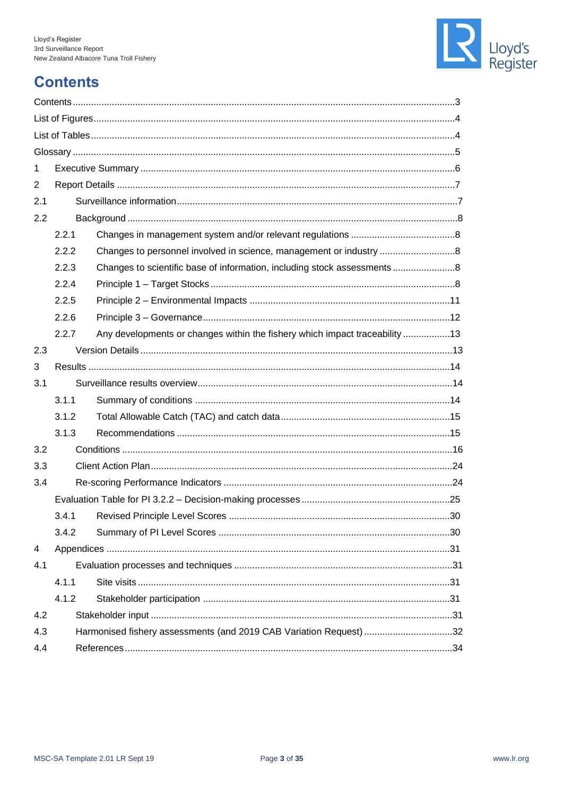

## <span id="page-2-0"></span>**Contents**

| 1   |                                                                    |                                                                             |  |  |  |
|-----|--------------------------------------------------------------------|-----------------------------------------------------------------------------|--|--|--|
| 2   |                                                                    |                                                                             |  |  |  |
| 2.1 |                                                                    |                                                                             |  |  |  |
| 2.2 |                                                                    |                                                                             |  |  |  |
|     | 2.2.1                                                              |                                                                             |  |  |  |
|     | 2.2.2                                                              | Changes to personnel involved in science, management or industry 8          |  |  |  |
|     | 2.2.3                                                              | Changes to scientific base of information, including stock assessments8     |  |  |  |
|     | 2.2.4                                                              |                                                                             |  |  |  |
|     | 2.2.5                                                              |                                                                             |  |  |  |
|     | 2.2.6                                                              |                                                                             |  |  |  |
|     | 2.2.7                                                              | Any developments or changes within the fishery which impact traceability 13 |  |  |  |
| 2.3 |                                                                    |                                                                             |  |  |  |
| 3   |                                                                    |                                                                             |  |  |  |
| 3.1 |                                                                    |                                                                             |  |  |  |
|     | 3.1.1                                                              |                                                                             |  |  |  |
|     | 3.1.2                                                              |                                                                             |  |  |  |
|     | 3.1.3                                                              |                                                                             |  |  |  |
| 3.2 |                                                                    |                                                                             |  |  |  |
| 3.3 |                                                                    |                                                                             |  |  |  |
| 3.4 |                                                                    |                                                                             |  |  |  |
|     |                                                                    |                                                                             |  |  |  |
|     | 3.4.1                                                              |                                                                             |  |  |  |
|     | 3.4.2                                                              |                                                                             |  |  |  |
| 4   |                                                                    |                                                                             |  |  |  |
| 4.1 |                                                                    |                                                                             |  |  |  |
|     | 4.1.1                                                              |                                                                             |  |  |  |
|     | 4.1.2                                                              |                                                                             |  |  |  |
| 4.2 |                                                                    |                                                                             |  |  |  |
| 4.3 | Harmonised fishery assessments (and 2019 CAB Variation Request) 32 |                                                                             |  |  |  |
| 4.4 |                                                                    |                                                                             |  |  |  |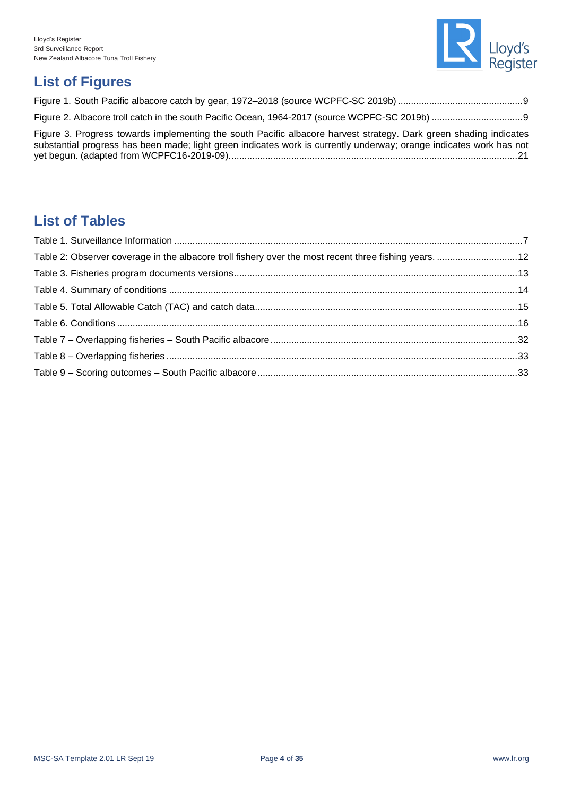

## <span id="page-3-0"></span>**List of Figures**

| Figure 3. Progress towards implementing the south Pacific albacore harvest strategy. Dark green shading indicates<br>substantial progress has been made; light green indicates work is currently underway; orange indicates work has not |  |
|------------------------------------------------------------------------------------------------------------------------------------------------------------------------------------------------------------------------------------------|--|

## <span id="page-3-1"></span>**List of Tables**

| Table 2: Observer coverage in the albacore troll fishery over the most recent three fishing years. 12 |  |
|-------------------------------------------------------------------------------------------------------|--|
|                                                                                                       |  |
|                                                                                                       |  |
|                                                                                                       |  |
|                                                                                                       |  |
|                                                                                                       |  |
|                                                                                                       |  |
|                                                                                                       |  |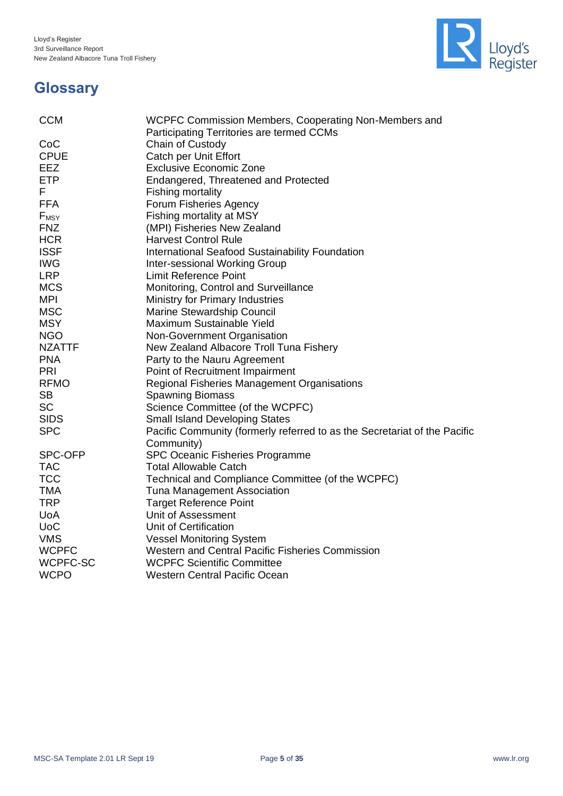

## <span id="page-4-0"></span>**Glossary**

| <b>CCM</b>       | WCPFC Commission Members, Cooperating Non-Members and                     |
|------------------|---------------------------------------------------------------------------|
|                  | Participating Territories are termed CCMs                                 |
| CoC              | Chain of Custody                                                          |
| <b>CPUE</b>      | Catch per Unit Effort                                                     |
| <b>EEZ</b>       | <b>Exclusive Economic Zone</b>                                            |
| <b>ETP</b>       | Endangered, Threatened and Protected                                      |
| F.               | <b>Fishing mortality</b>                                                  |
| <b>FFA</b>       | Forum Fisheries Agency                                                    |
| F <sub>MSY</sub> | Fishing mortality at MSY                                                  |
| <b>FNZ</b>       | (MPI) Fisheries New Zealand                                               |
| <b>HCR</b>       | <b>Harvest Control Rule</b>                                               |
| <b>ISSF</b>      | International Seafood Sustainability Foundation                           |
| <b>IWG</b>       | Inter-sessional Working Group                                             |
| <b>LRP</b>       | <b>Limit Reference Point</b>                                              |
| <b>MCS</b>       | Monitoring, Control and Surveillance                                      |
| <b>MPI</b>       | Ministry for Primary Industries                                           |
| <b>MSC</b>       | Marine Stewardship Council                                                |
| <b>MSY</b>       | Maximum Sustainable Yield                                                 |
| <b>NGO</b>       | Non-Government Organisation                                               |
| <b>NZATTF</b>    | New Zealand Albacore Troll Tuna Fishery                                   |
| <b>PNA</b>       | Party to the Nauru Agreement                                              |
| PRI              | Point of Recruitment Impairment                                           |
| <b>RFMO</b>      | Regional Fisheries Management Organisations                               |
| <b>SB</b>        | <b>Spawning Biomass</b>                                                   |
| <b>SC</b>        | Science Committee (of the WCPFC)                                          |
| <b>SIDS</b>      | <b>Small Island Developing States</b>                                     |
| <b>SPC</b>       | Pacific Community (formerly referred to as the Secretariat of the Pacific |
|                  | Community)                                                                |
| SPC-OFP          | SPC Oceanic Fisheries Programme                                           |
| <b>TAC</b>       | <b>Total Allowable Catch</b>                                              |
| <b>TCC</b>       | Technical and Compliance Committee (of the WCPFC)                         |
| <b>TMA</b>       | Tuna Management Association                                               |
| <b>TRP</b>       | <b>Target Reference Point</b>                                             |
| <b>UoA</b>       | Unit of Assessment                                                        |
| <b>UoC</b>       | Unit of Certification                                                     |
| <b>VMS</b>       | <b>Vessel Monitoring System</b>                                           |
| <b>WCPFC</b>     | Western and Central Pacific Fisheries Commission                          |
| WCPFC-SC         | <b>WCPFC Scientific Committee</b>                                         |
| <b>WCPO</b>      | <b>Western Central Pacific Ocean</b>                                      |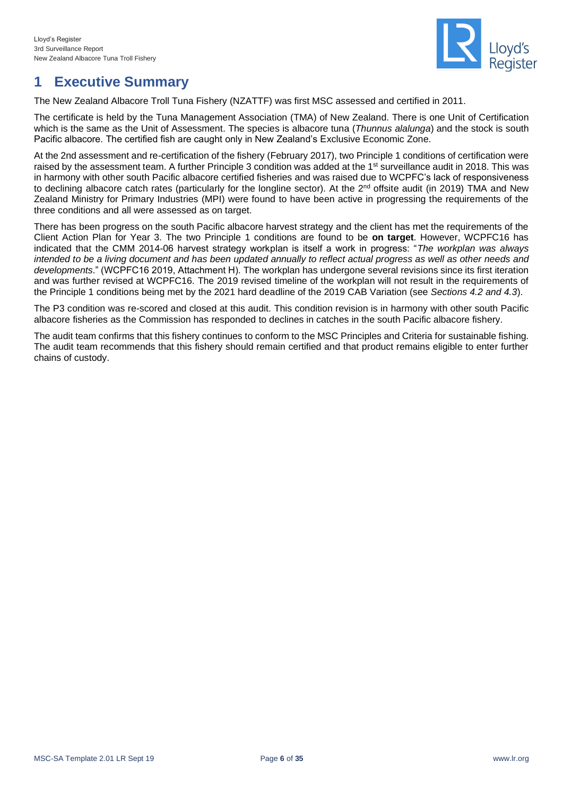

## <span id="page-5-0"></span>**1 Executive Summary**

The New Zealand Albacore Troll Tuna Fishery (NZATTF) was first MSC assessed and certified in 2011.

The certificate is held by the Tuna Management Association (TMA) of New Zealand. There is one Unit of Certification which is the same as the Unit of Assessment. The species is albacore tuna (*Thunnus alalunga*) and the stock is south Pacific albacore. The certified fish are caught only in New Zealand's Exclusive Economic Zone.

At the 2nd assessment and re-certification of the fishery (February 2017), two Principle 1 conditions of certification were raised by the assessment team. A further Principle 3 condition was added at the 1<sup>st</sup> surveillance audit in 2018. This was in harmony with other south Pacific albacore certified fisheries and was raised due to WCPFC's lack of responsiveness to declining albacore catch rates (particularly for the longline sector). At the 2<sup>nd</sup> offsite audit (in 2019) TMA and New Zealand Ministry for Primary Industries (MPI) were found to have been active in progressing the requirements of the three conditions and all were assessed as on target.

There has been progress on the south Pacific albacore harvest strategy and the client has met the requirements of the Client Action Plan for Year 3. The two Principle 1 conditions are found to be **on target**. However, WCPFC16 has indicated that the CMM 2014-06 harvest strategy workplan is itself a work in progress: "*The workplan was always*  intended to be a living document and has been updated annually to reflect actual progress as well as other needs and *developments*." (WCPFC16 2019, Attachment H). The workplan has undergone several revisions since its first iteration and was further revised at WCPFC16. The 2019 revised timeline of the workplan will not result in the requirements of the Principle 1 conditions being met by the 2021 hard deadline of the 2019 CAB Variation (see *Sections [4.2](#page-30-4) and [4.3](#page-31-0)*).

The P3 condition was re-scored and closed at this audit. This condition revision is in harmony with other south Pacific albacore fisheries as the Commission has responded to declines in catches in the south Pacific albacore fishery.

The audit team confirms that this fishery continues to conform to the MSC Principles and Criteria for sustainable fishing. The audit team recommends that this fishery should remain certified and that product remains eligible to enter further chains of custody.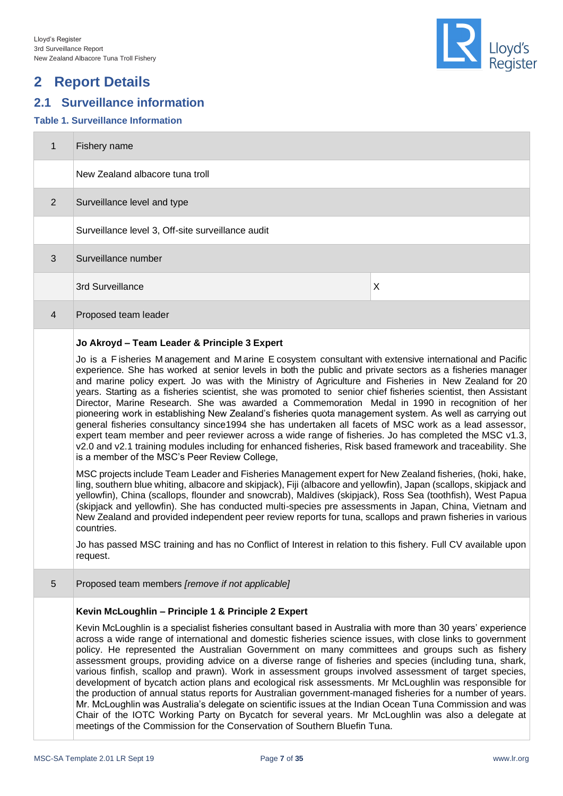## <span id="page-6-0"></span>**2 Report Details**

## <span id="page-6-1"></span>**2.1 Surveillance information**

#### <span id="page-6-2"></span>**Table 1. Surveillance Information**

| $\mathbf{1}$   | Fishery name                                      |
|----------------|---------------------------------------------------|
|                | New Zealand albacore tuna troll                   |
| 2              | Surveillance level and type                       |
|                | Surveillance level 3, Off-site surveillance audit |
| 3              | Surveillance number                               |
|                | 3rd Surveillance<br>X                             |
| $\overline{4}$ | Proposed team leader                              |
|                |                                                   |

#### **Jo Akroyd – Team Leader & Principle 3 Expert**

Jo is a F isheries M anagement and M arine E cosystem consultant with extensive international and Pacific experience. She has worked at senior levels in both the public and private sectors as a fisheries manager and marine policy expert. Jo was with the Ministry of Agriculture and Fisheries in New Zealand for 20 years. Starting as a fisheries scientist, she was promoted to senior chief fisheries scientist, then Assistant Director, Marine Research. She was awarded a Commemoration Medal in 1990 in recognition of her pioneering work in establishing New Zealand's fisheries quota management system. As well as carrying out general fisheries consultancy since1994 she has undertaken all facets of MSC work as a lead assessor, expert team member and peer reviewer across a wide range of fisheries. Jo has completed the MSC v1.3, v2.0 and v2.1 training modules including for enhanced fisheries, Risk based framework and traceability. She is a member of the MSC's Peer Review College,

MSC projects include Team Leader and Fisheries Management expert for New Zealand fisheries, (hoki, hake, ling, southern blue whiting, albacore and skipjack), Fiji (albacore and yellowfin), Japan (scallops, skipjack and yellowfin), China (scallops, flounder and snowcrab), Maldives (skipjack), Ross Sea (toothfish), West Papua (skipjack and yellowfin). She has conducted multi-species pre assessments in Japan, China, Vietnam and New Zealand and provided independent peer review reports for tuna, scallops and prawn fisheries in various countries.

Jo has passed MSC training and has no Conflict of Interest in relation to this fishery. Full CV available upon request.

5 Proposed team members *[remove if not applicable]*

#### **Kevin McLoughlin – Principle 1 & Principle 2 Expert**

Kevin McLoughlin is a specialist fisheries consultant based in Australia with more than 30 years' experience across a wide range of international and domestic fisheries science issues, with close links to government policy. He represented the Australian Government on many committees and groups such as fishery assessment groups, providing advice on a diverse range of fisheries and species (including tuna, shark, various finfish, scallop and prawn). Work in assessment groups involved assessment of target species, development of bycatch action plans and ecological risk assessments. Mr McLoughlin was responsible for the production of annual status reports for Australian government-managed fisheries for a number of years. Mr. McLoughlin was Australia's delegate on scientific issues at the Indian Ocean Tuna Commission and was Chair of the IOTC Working Party on Bycatch for several years. Mr McLoughlin was also a delegate at meetings of the Commission for the Conservation of Southern Bluefin Tuna.

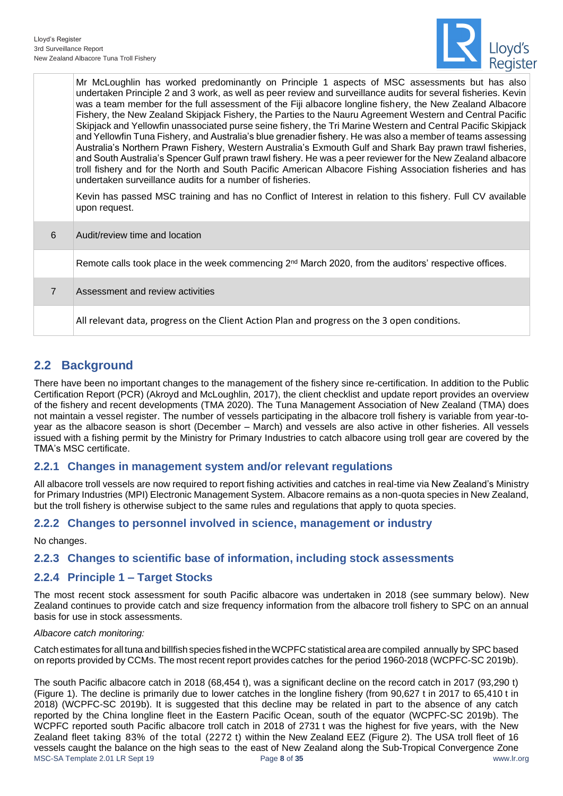

|                | Mr McLoughlin has worked predominantly on Principle 1 aspects of MSC assessments but has also<br>undertaken Principle 2 and 3 work, as well as peer review and surveillance audits for several fisheries. Kevin<br>was a team member for the full assessment of the Fiji albacore longline fishery, the New Zealand Albacore<br>Fishery, the New Zealand Skipjack Fishery, the Parties to the Nauru Agreement Western and Central Pacific<br>Skipjack and Yellowfin unassociated purse seine fishery, the Tri Marine Western and Central Pacific Skipjack<br>and Yellowfin Tuna Fishery, and Australia's blue grenadier fishery. He was also a member of teams assessing<br>Australia's Northern Prawn Fishery, Western Australia's Exmouth Gulf and Shark Bay prawn trawl fisheries,<br>and South Australia's Spencer Gulf prawn trawl fishery. He was a peer reviewer for the New Zealand albacore<br>troll fishery and for the North and South Pacific American Albacore Fishing Association fisheries and has<br>undertaken surveillance audits for a number of fisheries.<br>Kevin has passed MSC training and has no Conflict of Interest in relation to this fishery. Full CV available<br>upon request. |
|----------------|-----------------------------------------------------------------------------------------------------------------------------------------------------------------------------------------------------------------------------------------------------------------------------------------------------------------------------------------------------------------------------------------------------------------------------------------------------------------------------------------------------------------------------------------------------------------------------------------------------------------------------------------------------------------------------------------------------------------------------------------------------------------------------------------------------------------------------------------------------------------------------------------------------------------------------------------------------------------------------------------------------------------------------------------------------------------------------------------------------------------------------------------------------------------------------------------------------------------|
| 6              | Audit/review time and location                                                                                                                                                                                                                                                                                                                                                                                                                                                                                                                                                                                                                                                                                                                                                                                                                                                                                                                                                                                                                                                                                                                                                                                  |
|                | Remote calls took place in the week commencing 2 <sup>nd</sup> March 2020, from the auditors' respective offices.                                                                                                                                                                                                                                                                                                                                                                                                                                                                                                                                                                                                                                                                                                                                                                                                                                                                                                                                                                                                                                                                                               |
| $\overline{7}$ | Assessment and review activities                                                                                                                                                                                                                                                                                                                                                                                                                                                                                                                                                                                                                                                                                                                                                                                                                                                                                                                                                                                                                                                                                                                                                                                |
|                | All relevant data, progress on the Client Action Plan and progress on the 3 open conditions.                                                                                                                                                                                                                                                                                                                                                                                                                                                                                                                                                                                                                                                                                                                                                                                                                                                                                                                                                                                                                                                                                                                    |

## <span id="page-7-0"></span>**2.2 Background**

There have been no important changes to the management of the fishery since re-certification. In addition to the Public Certification Report (PCR) (Akroyd and McLoughlin, 2017), the client checklist and update report provides an overview of the fishery and recent developments (TMA 2020). The Tuna Management Association of New Zealand (TMA) does not maintain a vessel register. The number of vessels participating in the albacore troll fishery is variable from year-toyear as the albacore season is short (December – March) and vessels are also active in other fisheries. All vessels issued with a fishing permit by the Ministry for Primary Industries to catch albacore using troll gear are covered by the TMA's MSC certificate.

### <span id="page-7-1"></span>**2.2.1 Changes in management system and/or relevant regulations**

All albacore troll vessels are now required to report fishing activities and catches in real-time via New Zealand's Ministry for Primary Industries (MPI) Electronic Management System. Albacore remains as a non-quota species in New Zealand, but the troll fishery is otherwise subject to the same rules and regulations that apply to quota species.

### <span id="page-7-2"></span>**2.2.2 Changes to personnel involved in science, management or industry**

#### No changes.

### <span id="page-7-3"></span>**2.2.3 Changes to scientific base of information, including stock assessments**

### <span id="page-7-4"></span>**2.2.4 Principle 1 – Target Stocks**

The most recent stock assessment for south Pacific albacore was undertaken in 2018 (see summary below). New Zealand continues to provide catch and size frequency information from the albacore troll fishery to SPC on an annual basis for use in stock assessments.

#### *Albacore catch monitoring:*

Catch estimates for all tuna and billfish species fished in the WCPFC statistical area are compiled annually by SPC based onreports provided by CCMs. The most recent report provides catches for the period 1960-2018 (WCPFC-SC 2019b).

MSC-SA Template 2.01 LR Sept 19 Page **8** of **35** www.lr.org The south Pacific albacore catch in 2018 (68,454 t), was a significant decline on the record catch in 2017 (93,290 t) [\(Figure 1\)](#page-8-0). The decline is primarily due to lower catches in the longline fishery (from 90,627 t in 2017 to 65,410 t in 2018) (WCPFC-SC 2019b). It is suggested that this decline may be related in part to the absence of any catch reported by the China longline fleet in the Eastern Pacific Ocean, south of the equator (WCPFC-SC 2019b). The WCPFC reported south Pacific albacore troll catch in 2018 of 2731 t was the highest for five years, with the New Zealand fleet taking 83% of the total (2272 t) within the New Zealand EEZ [\(Figure 2\)](#page-8-1). The USA troll fleet of 16 vessels caught the balance on the high seas to the east of New Zealand along the Sub-Tropical Convergence Zone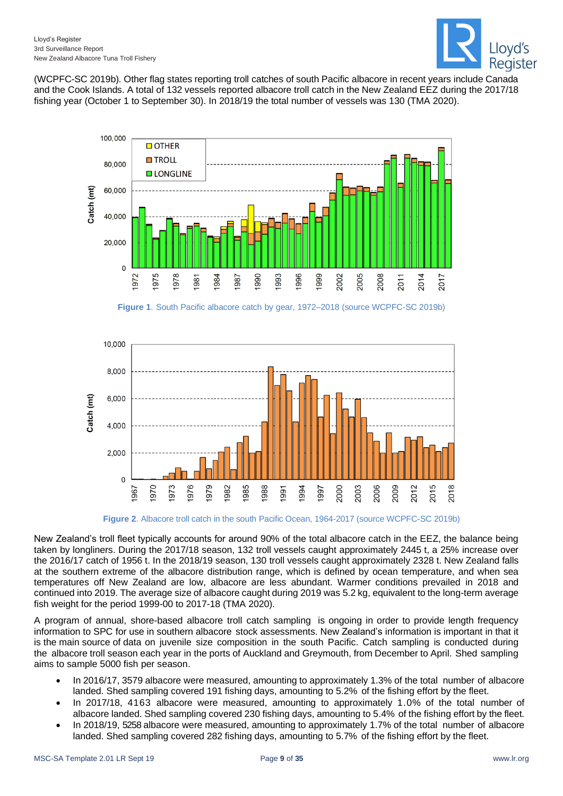

(WCPFC-SC 2019b). Other flag states reporting troll catches of south Pacific albacore in recent years include Canada and the Cook Islands. A total of 132 vessels reported albacore troll catch in the New Zealand EEZ during the 2017/18 fishing year (October 1 to September 30). In 2018/19 the total number of vessels was 130 (TMA 2020).



**Figure 1**. South Pacific albacore catch by gear, 1972–2018 (source WCPFC-SC 2019b)

<span id="page-8-0"></span>

**Figure 2**. Albacore troll catch in the south Pacific Ocean, 1964-2017 (source WCPFC-SC 2019b)

<span id="page-8-1"></span>New Zealand's troll fleet typically accounts for around 90% of the total albacore catch in the EEZ, the balance being taken by longliners. During the 2017/18 season, 132 troll vessels caught approximately 2445 t, a 25% increase over the 2016/17 catch of 1956 t. In the 2018/19 season, 130 troll vessels caught approximately 2328 t. New Zealand falls at the southern extreme of the albacore distribution range, which is defined by ocean temperature, and when sea temperatures off New Zealand are low, albacore are less abundant. Warmer conditions prevailed in 2018 and continued into 2019. The average size of albacore caught during 2019 was 5.2 kg, equivalent to the long-term average fish weight for the period 1999-00 to 2017-18 (TMA 2020).

A program of annual, shore-based albacore troll catch sampling is ongoing in order to provide length frequency information to SPC for use in southern albacore stock assessments. New Zealand's information is important in that it is the main source of data on juvenile size composition in the south Pacific. Catch sampling is conducted during the albacore troll season each year in the ports of Auckland and Greymouth, from December to April. Shed sampling aims to sample 5000 fish per season.

- In 2016/17, 3579 albacore were measured, amounting to approximately 1.3% of the total number of albacore landed. Shed sampling covered 191 fishing days, amounting to 5.2% of the fishing effort by the fleet.
- In 2017/18, 4163 albacore were measured, amounting to approximately 1.0% of the total number of albacore landed. Shed sampling covered 230 fishing days, amounting to 5.4% of the fishing effort by the fleet.
- In 2018/19, 5258 albacore were measured, amounting to approximately 1.7% of the total number of albacore landed. Shed sampling covered 282 fishing days, amounting to 5.7% of the fishing effort by the fleet.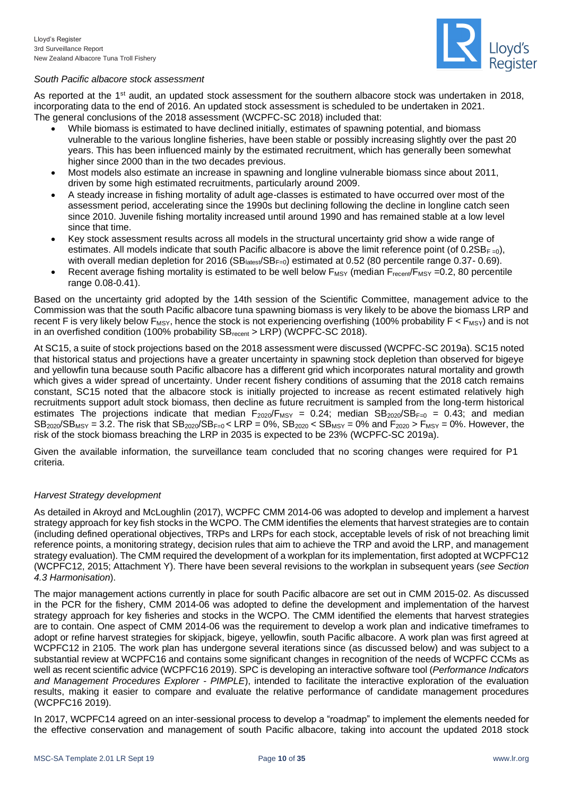

#### *South Pacific albacore stock assessment*

As reported at the 1<sup>st</sup> audit, an updated stock assessment for the southern albacore stock was undertaken in 2018, incorporating data to the end of 2016. An updated stock assessment is scheduled to be undertaken in 2021. The general conclusions of the 2018 assessment (WCPFC-SC 2018) included that:

- While biomass is estimated to have declined initially, estimates of spawning potential, and biomass vulnerable to the various longline fisheries, have been stable or possibly increasing slightly over the past 20 years. This has been influenced mainly by the estimated recruitment, which has generally been somewhat higher since 2000 than in the two decades previous.
- Most models also estimate an increase in spawning and longline vulnerable biomass since about 2011, driven by some high estimated recruitments, particularly around 2009.
- A steady increase in fishing mortality of adult age-classes is estimated to have occurred over most of the assessment period, accelerating since the 1990s but declining following the decline in longline catch seen since 2010. Juvenile fishing mortality increased until around 1990 and has remained stable at a low level since that time.
- Key stock assessment results across all models in the structural uncertainty grid show a wide range of estimates. All models indicate that south Pacific albacore is above the limit reference point (of 0.2SBF=0), with overall median depletion for 2016 (SB<sub>latest</sub>/SB<sub>F=0</sub>) estimated at 0.52 (80 percentile range 0.37- 0.69).
- Recent average fishing mortality is estimated to be well below  $F_{MSY}$  (median  $F_{recent}/F_{MSY}$  =0.2, 80 percentile range 0.08-0.41).

Based on the uncertainty grid adopted by the 14th session of the Scientific Committee, management advice to the Commission was that the south Pacific albacore tuna spawning biomass is very likely to be above the biomass LRP and recent F is very likely below  $F_{MSY}$ , hence the stock is not experiencing overfishing (100% probability  $F < F_{MSY}$ ) and is not in an overfished condition (100% probability  $SB_{recent} > LRP$ ) (WCPFC-SC 2018).

At SC15, a suite of stock projections based on the 2018 assessment were discussed (WCPFC-SC 2019a). SC15 noted that historical status and projections have a greater uncertainty in spawning stock depletion than observed for bigeye and yellowfin tuna because south Pacific albacore has a different grid which incorporates natural mortality and growth which gives a wider spread of uncertainty. Under recent fishery conditions of assuming that the 2018 catch remains constant, SC15 noted that the albacore stock is initially projected to increase as recent estimated relatively high recruitments support adult stock biomass, then decline as future recruitment is sampled from the long-term historical estimates The projections indicate that median  $F_{2020}/F_{MSY} = 0.24$ ; median  $SB_{2020}/SB_{F=0} = 0.43$ ; and median  $SB_{2020}/SB_{MSY} = 3.2$ . The risk that  $SB_{2020}/SB_{F=0}$  < LRP = 0%,  $SB_{2020}$  <  $SB_{MSY} = 0$ % and  $F_{2020}$  >  $F_{MSY} = 0$ %. However, the risk of the stock biomass breaching the LRP in 2035 is expected to be 23% (WCPFC-SC 2019a).

Given the available information, the surveillance team concluded that no scoring changes were required for P1 criteria.

#### *Harvest Strategy development*

As detailed in Akroyd and McLoughlin (2017), WCPFC CMM 2014-06 was adopted to develop and implement a harvest strategy approach for key fish stocks in the WCPO. The CMM identifies the elements that harvest strategies are to contain (including defined operational objectives, TRPs and LRPs for each stock, acceptable levels of risk of not breaching limit reference points, a monitoring strategy, decision rules that aim to achieve the TRP and avoid the LRP, and management strategy evaluation). The CMM required the development of a workplan for its implementation, first adopted at WCPFC12 (WCPFC12, 2015; Attachment Y). There have been several revisions to the workplan in subsequent years (*see Section [4.3](#page-31-0) Harmonisation*).

The major management actions currently in place for south Pacific albacore are set out in CMM 2015-02. As discussed in the PCR for the fishery, CMM 2014-06 was adopted to define the development and implementation of the harvest strategy approach for key fisheries and stocks in the WCPO. The CMM identified the elements that harvest strategies are to contain. One aspect of CMM 2014-06 was the requirement to develop a work plan and indicative timeframes to adopt or refine harvest strategies for skipjack, bigeye, yellowfin, south Pacific albacore. A work plan was first agreed at WCPFC12 in 2105. The work plan has undergone several iterations since (as discussed below) and was subject to a substantial review at WCPFC16 and contains some significant changes in recognition of the needs of WCPFC CCMs as well as recent scientific advice (WCPFC16 2019). SPC is developing an interactive software tool (*Performance Indicators and Management Procedures Explorer - PIMPLE*), intended to facilitate the interactive exploration of the evaluation results, making it easier to compare and evaluate the relative performance of candidate management procedures (WCPFC16 2019).

In 2017, WCPFC14 agreed on an inter-sessional process to develop a "roadmap" to implement the elements needed for the effective conservation and management of south Pacific albacore, taking into account the updated 2018 stock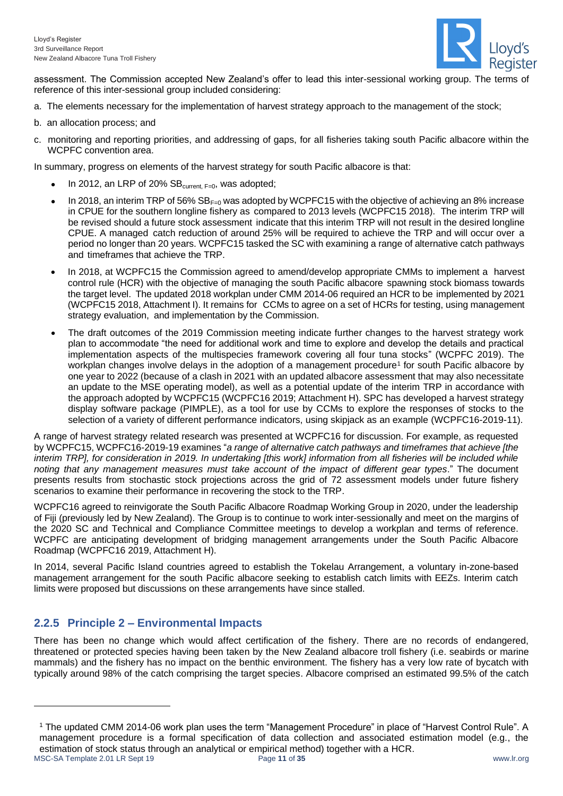

assessment. The Commission accepted New Zealand's offer to lead this inter-sessional working group. The terms of reference of this inter-sessional group included considering:

- a. The elements necessary for the implementation of harvest strategy approach to the management of the stock;
- b. an allocation process; and
- c. monitoring and reporting priorities, and addressing of gaps, for all fisheries taking south Pacific albacore within the WCPFC convention area.

In summary, progress on elements of the harvest strategy for south Pacific albacore is that:

- In 2012, an LRP of 20%  $SB_{\text{current, F=0}}$ , was adopted;
- In 2018, an interim TRP of 56% SBF=0 was adopted by WCPFC15 with the objective of achieving an 8% increase in CPUE for the southern longline fishery as compared to 2013 levels (WCPFC15 2018). The interim TRP will be revised should a future stock assessment indicate that this interim TRP will not result in the desired longline CPUE. A managed catch reduction of around 25% will be required to achieve the TRP and will occur over a period no longer than 20 years. WCPFC15 tasked the SC with examining a range of alternative catch pathways and timeframes that achieve the TRP.
- In 2018, at WCPFC15 the Commission agreed to amend/develop appropriate CMMs to implement a harvest control rule (HCR) with the objective of managing the south Pacific albacore spawning stock biomass towards the target level. The updated 2018 workplan under CMM 2014-06 required an HCR to be implemented by 2021 (WCPFC15 2018, Attachment I). It remains for CCMs to agree on a set of HCRs for testing, using management strategy evaluation, and implementation by the Commission.
- The draft outcomes of the 2019 Commission meeting indicate further changes to the harvest strategy work plan to accommodate "the need for additional work and time to explore and develop the details and practical implementation aspects of the multispecies framework covering all four tuna stocks" (WCPFC 2019). The workplan changes involve delays in the adoption of a management procedure<sup>1</sup> for south Pacific albacore by one year to 2022 (because of a clash in 2021 with an updated albacore assessment that may also necessitate an update to the MSE operating model), as well as a potential update of the interim TRP in accordance with the approach adopted by WCPFC15 (WCPFC16 2019; Attachment H). SPC has developed a harvest strategy display software package (PIMPLE), as a tool for use by CCMs to explore the responses of stocks to the selection of a variety of different performance indicators, using skipjack as an example (WCPFC16-2019-11).

A range of harvest strategy related research was presented at WCPFC16 for discussion. For example, as requested by WCPFC15, WCPFC16-2019-19 examines "*a range of alternative catch pathways and timeframes that achieve [the interim TRP], for consideration in 2019. In undertaking [this work] information from all fisheries will be included while noting that any management measures must take account of the impact of different gear types*." The document presents results from stochastic stock projections across the grid of 72 assessment models under future fishery scenarios to examine their performance in recovering the stock to the TRP.

WCPFC16 agreed to reinvigorate the South Pacific Albacore Roadmap Working Group in 2020, under the leadership of Fiji (previously led by New Zealand). The Group is to continue to work inter-sessionally and meet on the margins of the 2020 SC and Technical and Compliance Committee meetings to develop a workplan and terms of reference. WCPFC are anticipating development of bridging management arrangements under the South Pacific Albacore Roadmap (WCPFC16 2019, Attachment H).

In 2014, several Pacific Island countries agreed to establish the Tokelau Arrangement, a voluntary in-zone-based management arrangement for the south Pacific albacore seeking to establish catch limits with EEZs. Interim catch limits were proposed but discussions on these arrangements have since stalled.

## <span id="page-10-0"></span>**2.2.5 Principle 2 – Environmental Impacts**

There has been no change which would affect certification of the fishery. There are no records of endangered, threatened or protected species having been taken by the New Zealand albacore troll fishery (i.e. seabirds or marine mammals) and the fishery has no impact on the benthic environment. The fishery has a very low rate of bycatch with typically around 98% of the catch comprising the target species. Albacore comprised an estimated 99.5% of the catch

MSC-SA Template 2.01 LR Sept 19 Page **11** of **35** www.lr.org <sup>1</sup> The updated CMM 2014-06 work plan uses the term "Management Procedure" in place of "Harvest Control Rule". A management procedure is a formal specification of data collection and associated estimation model (e.g., the estimation of stock status through an analytical or empirical method) together with a HCR.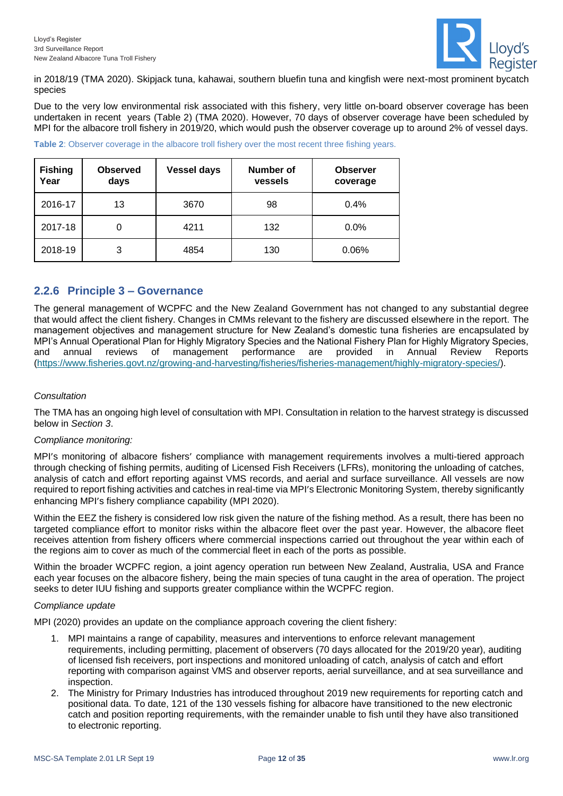

in 2018/19 (TMA 2020). Skipjack tuna, kahawai, southern bluefin tuna and kingfish were next-most prominent bycatch species

Due to the very low environmental risk associated with this fishery, very little on-board observer coverage has been undertaken in recent years [\(Table 2\)](#page-11-1) (TMA 2020). However, 70 days of observer coverage have been scheduled by MPI for the albacore troll fishery in 2019/20, which would push the observer coverage up to around 2% of vessel days.

| <b>Fishing</b><br>Year | <b>Observed</b><br>days | <b>Vessel days</b> | <b>Number of</b><br>vessels | <b>Observer</b><br>coverage |
|------------------------|-------------------------|--------------------|-----------------------------|-----------------------------|
| 2016-17                | 13                      | 3670               | 98                          | 0.4%                        |
| 2017-18                |                         | 4211               | 132                         | $0.0\%$                     |
| 2018-19                | 3                       | 4854               | 130                         | 0.06%                       |

<span id="page-11-1"></span>**Table 2:** Observer coverage in the albacore troll fishery over the most recent three fishing years.

## <span id="page-11-0"></span>**2.2.6 Principle 3 – Governance**

The general management of WCPFC and the New Zealand Government has not changed to any substantial degree that would affect the client fishery. Changes in CMMs relevant to the fishery are discussed elsewhere in the report. The management objectives and management structure for New Zealand's domestic tuna fisheries are encapsulated by MPI's Annual Operational Plan for Highly Migratory Species and the National Fishery Plan for Highly Migratory Species, and annual reviews of management performance are provided in Annual Review Reports [\(https://www.fisheries.govt.nz/growing-and-harvesting/fisheries/fisheries-management/highly-migratory-species/\)](https://www.fisheries.govt.nz/growing-and-harvesting/fisheries/fisheries-management/highly-migratory-species/).

#### *Consultation*

The TMA has an ongoing high level of consultation with MPI. Consultation in relation to the harvest strategy is discussed below in *Section [3](#page-13-0)*.

#### *Compliance monitoring:*

MPI's monitoring of albacore fishers' compliance with management requirements involves a multi-tiered approach through checking of fishing permits, auditing of Licensed Fish Receivers (LFRs), monitoring the unloading of catches, analysis of catch and effort reporting against VMS records, and aerial and surface surveillance. All vessels are now required to report fishing activities and catches in real-time via MPI's Electronic Monitoring System, thereby significantly enhancing MPI's fishery compliance capability (MPI 2020).

Within the EEZ the fishery is considered low risk given the nature of the fishing method. As a result, there has been no targeted compliance effort to monitor risks within the albacore fleet over the past year. However, the albacore fleet receives attention from fishery officers where commercial inspections carried out throughout the year within each of the regions aim to cover as much of the commercial fleet in each of the ports as possible.

Within the broader WCPFC region, a joint agency operation run between New Zealand, Australia, USA and France each year focuses on the albacore fishery, being the main species of tuna caught in the area of operation. The project seeks to deter IUU fishing and supports greater compliance within the WCPFC region.

#### *Compliance update*

MPI (2020) provides an update on the compliance approach covering the client fishery:

- 1. MPI maintains a range of capability, measures and interventions to enforce relevant management requirements, including permitting, placement of observers (70 days allocated for the 2019/20 year), auditing of licensed fish receivers, port inspections and monitored unloading of catch, analysis of catch and effort reporting with comparison against VMS and observer reports, aerial surveillance, and at sea surveillance and inspection.
- 2. The Ministry for Primary Industries has introduced throughout 2019 new requirements for reporting catch and positional data. To date, 121 of the 130 vessels fishing for albacore have transitioned to the new electronic catch and position reporting requirements, with the remainder unable to fish until they have also transitioned to electronic reporting.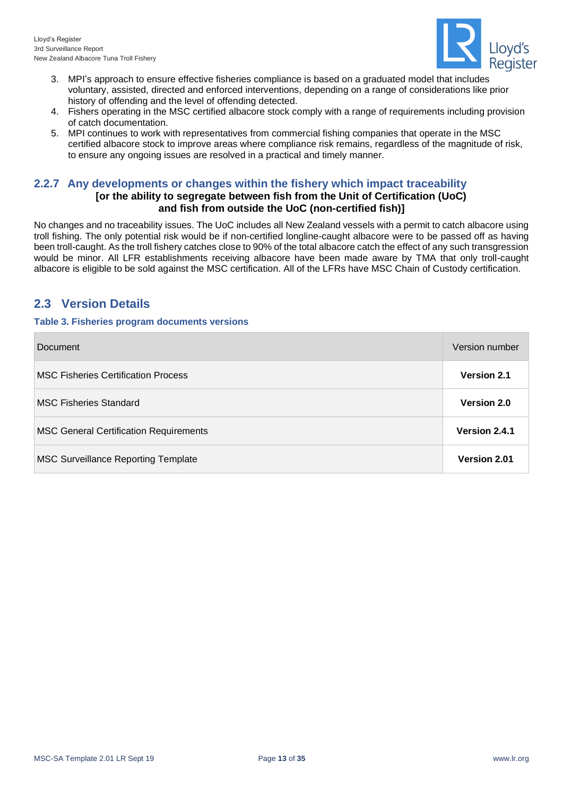

- 3. MPI's approach to ensure effective fisheries compliance is based on a graduated model that includes voluntary, assisted, directed and enforced interventions, depending on a range of considerations like prior history of offending and the level of offending detected.
- 4. Fishers operating in the MSC certified albacore stock comply with a range of requirements including provision of catch documentation.
- 5. MPI continues to work with representatives from commercial fishing companies that operate in the MSC certified albacore stock to improve areas where compliance risk remains, regardless of the magnitude of risk, to ensure any ongoing issues are resolved in a practical and timely manner.

## <span id="page-12-0"></span>**2.2.7 Any developments or changes within the fishery which impact traceability**

## **[or the ability to segregate between fish from the Unit of Certification (UoC) and fish from outside the UoC (non-certified fish)]**

No changes and no traceability issues. The UoC includes all New Zealand vessels with a permit to catch albacore using troll fishing. The only potential risk would be if non-certified longline-caught albacore were to be passed off as having been troll-caught. As the troll fishery catches close to 90% of the total albacore catch the effect of any such transgression would be minor. All LFR establishments receiving albacore have been made aware by TMA that only troll-caught albacore is eligible to be sold against the MSC certification. All of the LFRs have MSC Chain of Custody certification.

## <span id="page-12-1"></span>**2.3 Version Details**

#### <span id="page-12-2"></span>**Table 3. Fisheries program documents versions**

| Document                                      | Version number     |
|-----------------------------------------------|--------------------|
| <b>MSC Fisheries Certification Process</b>    | <b>Version 2.1</b> |
| <b>MSC Fisheries Standard</b>                 | Version 2.0        |
| <b>MSC General Certification Requirements</b> | Version 2.4.1      |
| <b>MSC Surveillance Reporting Template</b>    | Version 2.01       |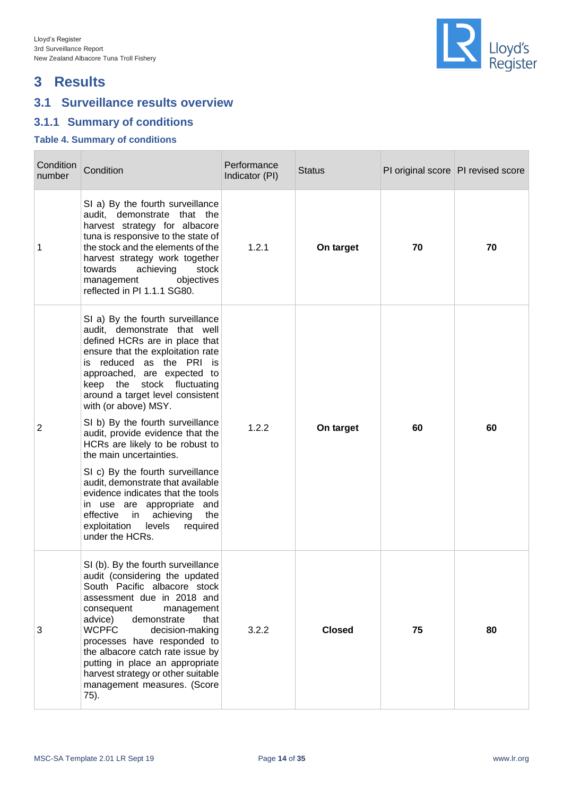

## <span id="page-13-0"></span>**3 Results**

## <span id="page-13-1"></span>**3.1 Surveillance results overview**

## <span id="page-13-2"></span>**3.1.1 Summary of conditions**

#### <span id="page-13-3"></span>**Table 4. Summary of conditions**

| Condition<br>number | Condition                                                                                                                                                                                                                                                                                                                                                                                                                                                                                                                                                                                                                                                                   | Performance<br>Indicator (PI) | <b>Status</b> |    | PI original score PI revised score |
|---------------------|-----------------------------------------------------------------------------------------------------------------------------------------------------------------------------------------------------------------------------------------------------------------------------------------------------------------------------------------------------------------------------------------------------------------------------------------------------------------------------------------------------------------------------------------------------------------------------------------------------------------------------------------------------------------------------|-------------------------------|---------------|----|------------------------------------|
| 1                   | SI a) By the fourth surveillance<br>audit, demonstrate that the<br>harvest strategy for albacore<br>tuna is responsive to the state of<br>the stock and the elements of the<br>harvest strategy work together<br>achieving<br>towards<br>stock<br>objectives<br>management<br>reflected in PI 1.1.1 SG80.                                                                                                                                                                                                                                                                                                                                                                   | 1.2.1                         | On target     | 70 | 70                                 |
| $\overline{2}$      | SI a) By the fourth surveillance<br>audit, demonstrate that well<br>defined HCRs are in place that<br>ensure that the exploitation rate<br>is reduced as the PRI is<br>approached, are expected to<br>keep the stock fluctuating<br>around a target level consistent<br>with (or above) MSY.<br>SI b) By the fourth surveillance<br>audit, provide evidence that the<br>HCRs are likely to be robust to<br>the main uncertainties.<br>SI c) By the fourth surveillance<br>audit, demonstrate that available<br>evidence indicates that the tools<br>in use are appropriate and<br>achieving<br>the<br>effective<br>in<br>exploitation levels<br>required<br>under the HCRs. | 1.2.2                         | On target     | 60 | 60                                 |
| 3                   | SI (b). By the fourth surveillance<br>audit (considering the updated<br>South Pacific albacore stock<br>assessment due in 2018 and<br>management<br>consequent<br>advice)<br>demonstrate<br>that<br><b>WCPFC</b><br>decision-making<br>processes have responded to<br>the albacore catch rate issue by<br>putting in place an appropriate<br>harvest strategy or other suitable<br>management measures. (Score<br>75).                                                                                                                                                                                                                                                      | 3.2.2                         | <b>Closed</b> | 75 | 80                                 |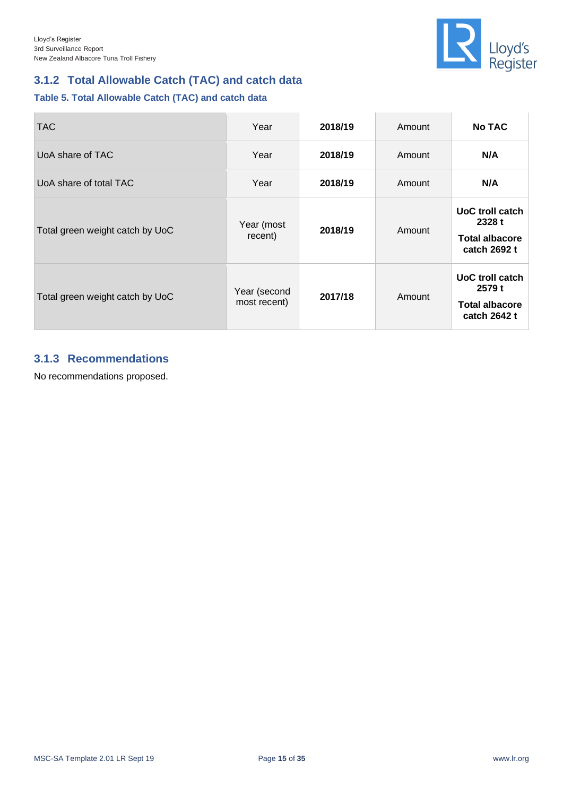

## <span id="page-14-0"></span>**3.1.2 Total Allowable Catch (TAC) and catch data**

#### <span id="page-14-2"></span>**Table 5. Total Allowable Catch (TAC) and catch data**

| <b>TAC</b>                      | Year                         | 2018/19 | Amount | <b>No TAC</b>                                                      |
|---------------------------------|------------------------------|---------|--------|--------------------------------------------------------------------|
| UoA share of TAC                | Year                         | 2018/19 | Amount | N/A                                                                |
| UoA share of total TAC          | Year                         | 2018/19 | Amount | N/A                                                                |
| Total green weight catch by UoC | Year (most<br>recent)        | 2018/19 | Amount | UoC troll catch<br>2328 t<br><b>Total albacore</b><br>catch 2692 t |
| Total green weight catch by UoC | Year (second<br>most recent) | 2017/18 | Amount | UoC troll catch<br>2579 t<br><b>Total albacore</b><br>catch 2642 t |

## <span id="page-14-1"></span>**3.1.3 Recommendations**

No recommendations proposed.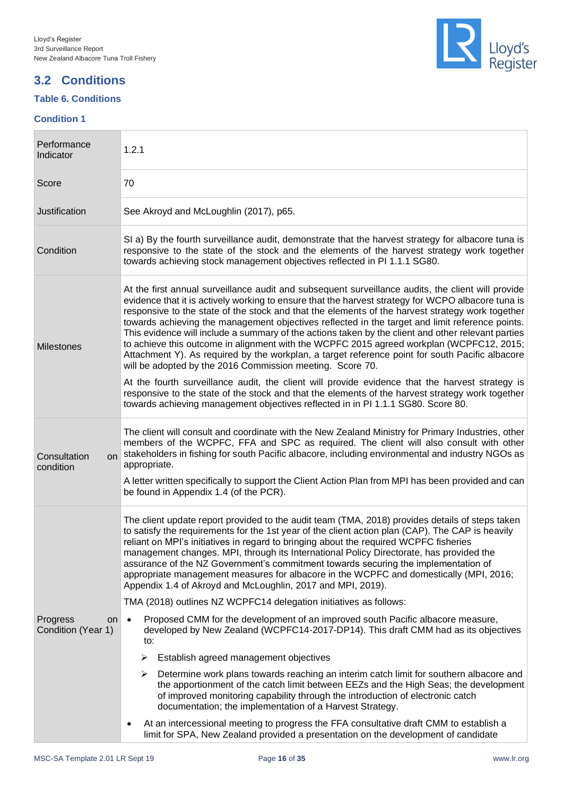## <span id="page-15-0"></span>**3.2 Conditions**

### <span id="page-15-1"></span>**Table 6. Conditions**

#### **Condition 1**



| Performance<br>Indicator                          | 1.2.1                                                                                                                                                                                                                                                                                                                                                                                                                                                                                                                                                                                                                                                                                                                                                                             |  |  |  |
|---------------------------------------------------|-----------------------------------------------------------------------------------------------------------------------------------------------------------------------------------------------------------------------------------------------------------------------------------------------------------------------------------------------------------------------------------------------------------------------------------------------------------------------------------------------------------------------------------------------------------------------------------------------------------------------------------------------------------------------------------------------------------------------------------------------------------------------------------|--|--|--|
| Score                                             | 70                                                                                                                                                                                                                                                                                                                                                                                                                                                                                                                                                                                                                                                                                                                                                                                |  |  |  |
| Justification                                     | See Akroyd and McLoughlin (2017), p65.                                                                                                                                                                                                                                                                                                                                                                                                                                                                                                                                                                                                                                                                                                                                            |  |  |  |
| Condition                                         | SI a) By the fourth surveillance audit, demonstrate that the harvest strategy for albacore tuna is<br>responsive to the state of the stock and the elements of the harvest strategy work together<br>towards achieving stock management objectives reflected in PI 1.1.1 SG80.                                                                                                                                                                                                                                                                                                                                                                                                                                                                                                    |  |  |  |
| <b>Milestones</b>                                 | At the first annual surveillance audit and subsequent surveillance audits, the client will provide<br>evidence that it is actively working to ensure that the harvest strategy for WCPO albacore tuna is<br>responsive to the state of the stock and that the elements of the harvest strategy work together<br>towards achieving the management objectives reflected in the target and limit reference points.<br>This evidence will include a summary of the actions taken by the client and other relevant parties<br>to achieve this outcome in alignment with the WCPFC 2015 agreed workplan (WCPFC12, 2015;<br>Attachment Y). As required by the workplan, a target reference point for south Pacific albacore<br>will be adopted by the 2016 Commission meeting. Score 70. |  |  |  |
|                                                   | At the fourth surveillance audit, the client will provide evidence that the harvest strategy is<br>responsive to the state of the stock and that the elements of the harvest strategy work together<br>towards achieving management objectives reflected in in PI 1.1.1 SG80. Score 80.                                                                                                                                                                                                                                                                                                                                                                                                                                                                                           |  |  |  |
| Consultation<br>on<br>condition                   | The client will consult and coordinate with the New Zealand Ministry for Primary Industries, other<br>members of the WCPFC, FFA and SPC as required. The client will also consult with other<br>stakeholders in fishing for south Pacific albacore, including environmental and industry NGOs as<br>appropriate.                                                                                                                                                                                                                                                                                                                                                                                                                                                                  |  |  |  |
|                                                   | A letter written specifically to support the Client Action Plan from MPI has been provided and can<br>be found in Appendix 1.4 (of the PCR).                                                                                                                                                                                                                                                                                                                                                                                                                                                                                                                                                                                                                                      |  |  |  |
|                                                   | The client update report provided to the audit team (TMA, 2018) provides details of steps taken<br>to satisfy the requirements for the 1st year of the client action plan (CAP). The CAP is heavily<br>reliant on MPI's initiatives in regard to bringing about the required WCPFC fisheries<br>management changes. MPI, through its International Policy Directorate, has provided the<br>assurance of the NZ Government's commitment towards securing the implementation of<br>appropriate management measures for albacore in the WCPFC and domestically (MPI, 2016;<br>Appendix 1.4 of Akroyd and McLoughlin, 2017 and MPI, 2019).                                                                                                                                            |  |  |  |
|                                                   | TMA (2018) outlines NZ WCPFC14 delegation initiatives as follows:                                                                                                                                                                                                                                                                                                                                                                                                                                                                                                                                                                                                                                                                                                                 |  |  |  |
| Progress<br>on <sub>1</sub><br>Condition (Year 1) | Proposed CMM for the development of an improved south Pacific albacore measure,<br>$\bullet$<br>developed by New Zealand (WCPFC14-2017-DP14). This draft CMM had as its objectives<br>to:                                                                                                                                                                                                                                                                                                                                                                                                                                                                                                                                                                                         |  |  |  |
|                                                   | Establish agreed management objectives<br>➤                                                                                                                                                                                                                                                                                                                                                                                                                                                                                                                                                                                                                                                                                                                                       |  |  |  |
|                                                   | Determine work plans towards reaching an interim catch limit for southern albacore and<br>➤<br>the apportionment of the catch limit between EEZs and the High Seas; the development<br>of improved monitoring capability through the introduction of electronic catch<br>documentation; the implementation of a Harvest Strategy.                                                                                                                                                                                                                                                                                                                                                                                                                                                 |  |  |  |
|                                                   | At an intercessional meeting to progress the FFA consultative draft CMM to establish a<br>$\bullet$<br>limit for SPA, New Zealand provided a presentation on the development of candidate                                                                                                                                                                                                                                                                                                                                                                                                                                                                                                                                                                                         |  |  |  |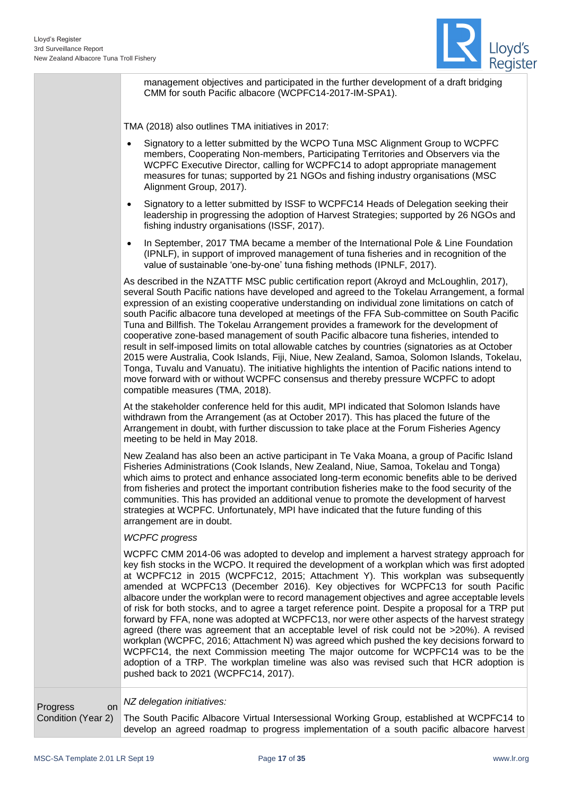

management objectives and participated in the further development of a draft bridging CMM for south Pacific albacore (WCPFC14-2017-IM-SPA1).

TMA (2018) also outlines TMA initiatives in 2017:

- Signatory to a letter submitted by the WCPO Tuna MSC Alignment Group to WCPFC members, Cooperating Non-members, Participating Territories and Observers via the WCPFC Executive Director, calling for WCPFC14 to adopt appropriate management measures for tunas; supported by 21 NGOs and fishing industry organisations (MSC Alignment Group, 2017).
- Signatory to a letter submitted by ISSF to WCPFC14 Heads of Delegation seeking their leadership in progressing the adoption of Harvest Strategies; supported by 26 NGOs and fishing industry organisations (ISSF, 2017).
- In September, 2017 TMA became a member of the International Pole & Line Foundation (IPNLF), in support of improved management of tuna fisheries and in recognition of the value of sustainable 'one-by-one' tuna fishing methods (IPNLF, 2017).

As described in the NZATTF MSC public certification report (Akroyd and McLoughlin, 2017), several South Pacific nations have developed and agreed to the Tokelau Arrangement, a formal expression of an existing cooperative understanding on individual zone limitations on catch of south Pacific albacore tuna developed at meetings of the FFA Sub-committee on South Pacific Tuna and Billfish. The Tokelau Arrangement provides a framework for the development of cooperative zone-based management of south Pacific albacore tuna fisheries, intended to result in self-imposed limits on total allowable catches by countries (signatories as at October 2015 were Australia, Cook Islands, Fiji, Niue, New Zealand, Samoa, Solomon Islands, Tokelau, Tonga, Tuvalu and Vanuatu). The initiative highlights the intention of Pacific nations intend to move forward with or without WCPFC consensus and thereby pressure WCPFC to adopt compatible measures (TMA, 2018).

At the stakeholder conference held for this audit, MPI indicated that Solomon Islands have withdrawn from the Arrangement (as at October 2017). This has placed the future of the Arrangement in doubt, with further discussion to take place at the Forum Fisheries Agency meeting to be held in May 2018.

New Zealand has also been an active participant in Te Vaka Moana, a group of Pacific Island Fisheries Administrations (Cook Islands, New Zealand, Niue, Samoa, Tokelau and Tonga) which aims to protect and enhance associated long-term economic benefits able to be derived from fisheries and protect the important contribution fisheries make to the food security of the communities. This has provided an additional venue to promote the development of harvest strategies at WCPFC. Unfortunately, MPI have indicated that the future funding of this arrangement are in doubt.

#### *WCPFC progress*

WCPFC CMM 2014-06 was adopted to develop and implement a harvest strategy approach for key fish stocks in the WCPO. It required the development of a workplan which was first adopted at WCPFC12 in 2015 (WCPFC12, 2015; Attachment Y). This workplan was subsequently amended at WCPFC13 (December 2016). Key objectives for WCPFC13 for south Pacific albacore under the workplan were to record management objectives and agree acceptable levels of risk for both stocks, and to agree a target reference point. Despite a proposal for a TRP put forward by FFA, none was adopted at WCPFC13, nor were other aspects of the harvest strategy agreed (there was agreement that an acceptable level of risk could not be >20%). A revised workplan (WCPFC, 2016; Attachment N) was agreed which pushed the key decisions forward to WCPFC14, the next Commission meeting The major outcome for WCPFC14 was to be the adoption of a TRP. The workplan timeline was also was revised such that HCR adoption is pushed back to 2021 (WCPFC14, 2017).

Progress on Condition (Year 2)

#### *NZ delegation initiatives:*

The South Pacific Albacore Virtual Intersessional Working Group, established at WCPFC14 to develop an agreed roadmap to progress implementation of a south pacific albacore harvest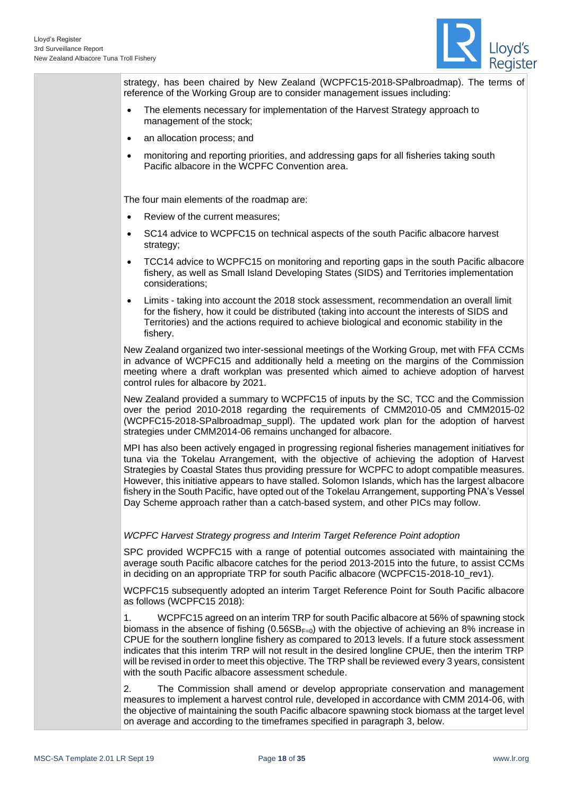

strategy, has been chaired by New Zealand (WCPFC15-2018-SPalbroadmap). The terms of reference of the Working Group are to consider management issues including:

- The elements necessary for implementation of the Harvest Strategy approach to management of the stock;
- an allocation process; and
- monitoring and reporting priorities, and addressing gaps for all fisheries taking south Pacific albacore in the WCPFC Convention area.

The four main elements of the roadmap are:

- Review of the current measures;
- SC14 advice to WCPFC15 on technical aspects of the south Pacific albacore harvest strategy;
- TCC14 advice to WCPFC15 on monitoring and reporting gaps in the south Pacific albacore fishery, as well as Small Island Developing States (SIDS) and Territories implementation considerations;
- Limits taking into account the 2018 stock assessment, recommendation an overall limit for the fishery, how it could be distributed (taking into account the interests of SIDS and Territories) and the actions required to achieve biological and economic stability in the fishery.

New Zealand organized two inter-sessional meetings of the Working Group, met with FFA CCMs in advance of WCPFC15 and additionally held a meeting on the margins of the Commission meeting where a draft workplan was presented which aimed to achieve adoption of harvest control rules for albacore by 2021.

New Zealand provided a summary to WCPFC15 of inputs by the SC, TCC and the Commission over the period 2010-2018 regarding the requirements of CMM2010-05 and CMM2015-02 (WCPFC15-2018-SPalbroadmap\_suppl). The updated work plan for the adoption of harvest strategies under CMM2014-06 remains unchanged for albacore.

MPI has also been actively engaged in progressing regional fisheries management initiatives for tuna via the Tokelau Arrangement, with the objective of achieving the adoption of Harvest Strategies by Coastal States thus providing pressure for WCPFC to adopt compatible measures. However, this initiative appears to have stalled. Solomon Islands, which has the largest albacore fishery in the South Pacific, have opted out of the Tokelau Arrangement, supporting PNA's Vessel Day Scheme approach rather than a catch-based system, and other PICs may follow.

#### *WCPFC Harvest Strategy progress and Interim Target Reference Point adoption*

SPC provided WCPFC15 with a range of potential outcomes associated with maintaining the average south Pacific albacore catches for the period 2013-2015 into the future, to assist CCMs in deciding on an appropriate TRP for south Pacific albacore (WCPFC15-2018-10 rev1).

WCPFC15 subsequently adopted an interim Target Reference Point for South Pacific albacore as follows (WCPFC15 2018):

1. WCPFC15 agreed on an interim TRP for south Pacific albacore at 56% of spawning stock biomass in the absence of fishing  $(0.56SB_{F=0})$  with the objective of achieving an 8% increase in CPUE for the southern longline fishery as compared to 2013 levels. If a future stock assessment indicates that this interim TRP will not result in the desired longline CPUE, then the interim TRP will be revised in order to meet this objective. The TRP shall be reviewed every 3 years, consistent with the south Pacific albacore assessment schedule.

2. The Commission shall amend or develop appropriate conservation and management measures to implement a harvest control rule, developed in accordance with CMM 2014-06, with the objective of maintaining the south Pacific albacore spawning stock biomass at the target level on average and according to the timeframes specified in paragraph 3, below.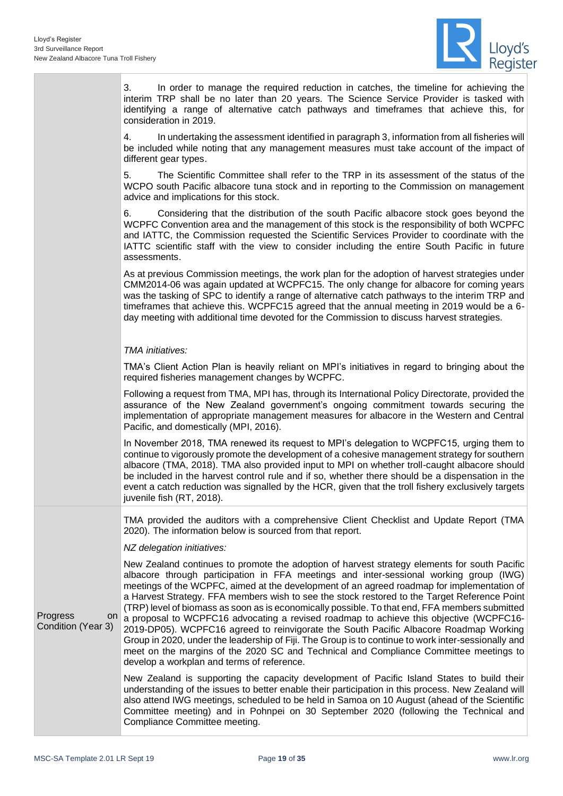

|                                      | 3.<br>In order to manage the required reduction in catches, the timeline for achieving the<br>interim TRP shall be no later than 20 years. The Science Service Provider is tasked with<br>identifying a range of alternative catch pathways and timeframes that achieve this, for<br>consideration in 2019.                                                                                                                                                                                                                                                                                                                                                                                                                                                                                                                                                                                                             |
|--------------------------------------|-------------------------------------------------------------------------------------------------------------------------------------------------------------------------------------------------------------------------------------------------------------------------------------------------------------------------------------------------------------------------------------------------------------------------------------------------------------------------------------------------------------------------------------------------------------------------------------------------------------------------------------------------------------------------------------------------------------------------------------------------------------------------------------------------------------------------------------------------------------------------------------------------------------------------|
|                                      | 4.<br>In undertaking the assessment identified in paragraph 3, information from all fisheries will<br>be included while noting that any management measures must take account of the impact of<br>different gear types.                                                                                                                                                                                                                                                                                                                                                                                                                                                                                                                                                                                                                                                                                                 |
|                                      | 5.<br>The Scientific Committee shall refer to the TRP in its assessment of the status of the<br>WCPO south Pacific albacore tuna stock and in reporting to the Commission on management<br>advice and implications for this stock.                                                                                                                                                                                                                                                                                                                                                                                                                                                                                                                                                                                                                                                                                      |
|                                      | 6.<br>Considering that the distribution of the south Pacific albacore stock goes beyond the<br>WCPFC Convention area and the management of this stock is the responsibility of both WCPFC<br>and IATTC, the Commission requested the Scientific Services Provider to coordinate with the<br>IATTC scientific staff with the view to consider including the entire South Pacific in future<br>assessments.                                                                                                                                                                                                                                                                                                                                                                                                                                                                                                               |
|                                      | As at previous Commission meetings, the work plan for the adoption of harvest strategies under<br>CMM2014-06 was again updated at WCPFC15. The only change for albacore for coming years<br>was the tasking of SPC to identify a range of alternative catch pathways to the interim TRP and<br>timeframes that achieve this. WCPFC15 agreed that the annual meeting in 2019 would be a 6-<br>day meeting with additional time devoted for the Commission to discuss harvest strategies.                                                                                                                                                                                                                                                                                                                                                                                                                                 |
|                                      | TMA initiatives:                                                                                                                                                                                                                                                                                                                                                                                                                                                                                                                                                                                                                                                                                                                                                                                                                                                                                                        |
|                                      | TMA's Client Action Plan is heavily reliant on MPI's initiatives in regard to bringing about the<br>required fisheries management changes by WCPFC.                                                                                                                                                                                                                                                                                                                                                                                                                                                                                                                                                                                                                                                                                                                                                                     |
|                                      | Following a request from TMA, MPI has, through its International Policy Directorate, provided the<br>assurance of the New Zealand government's ongoing commitment towards securing the<br>implementation of appropriate management measures for albacore in the Western and Central<br>Pacific, and domestically (MPI, 2016).                                                                                                                                                                                                                                                                                                                                                                                                                                                                                                                                                                                           |
|                                      | In November 2018, TMA renewed its request to MPI's delegation to WCPFC15, urging them to<br>continue to vigorously promote the development of a cohesive management strategy for southern<br>albacore (TMA, 2018). TMA also provided input to MPI on whether troll-caught albacore should<br>be included in the harvest control rule and if so, whether there should be a dispensation in the<br>event a catch reduction was signalled by the HCR, given that the troll fishery exclusively targets<br>juvenile fish (RT, 2018).                                                                                                                                                                                                                                                                                                                                                                                        |
|                                      | TMA provided the auditors with a comprehensive Client Checklist and Update Report (TMA<br>2020). The information below is sourced from that report.                                                                                                                                                                                                                                                                                                                                                                                                                                                                                                                                                                                                                                                                                                                                                                     |
|                                      | NZ delegation initiatives:                                                                                                                                                                                                                                                                                                                                                                                                                                                                                                                                                                                                                                                                                                                                                                                                                                                                                              |
| Progress<br>on<br>Condition (Year 3) | New Zealand continues to promote the adoption of harvest strategy elements for south Pacific<br>albacore through participation in FFA meetings and inter-sessional working group (IWG)<br>meetings of the WCPFC, aimed at the development of an agreed roadmap for implementation of<br>a Harvest Strategy. FFA members wish to see the stock restored to the Target Reference Point<br>(TRP) level of biomass as soon as is economically possible. To that end, FFA members submitted<br>a proposal to WCPFC16 advocating a revised roadmap to achieve this objective (WCPFC16-<br>2019-DP05). WCPFC16 agreed to reinvigorate the South Pacific Albacore Roadmap Working<br>Group in 2020, under the leadership of Fiji. The Group is to continue to work inter-sessionally and<br>meet on the margins of the 2020 SC and Technical and Compliance Committee meetings to<br>develop a workplan and terms of reference. |
|                                      | New Zealand is supporting the capacity development of Pacific Island States to build their<br>understanding of the issues to better enable their participation in this process. New Zealand will<br>also attend IWG meetings, scheduled to be held in Samoa on 10 August (ahead of the Scientific<br>Committee meeting) and in Pohnpei on 30 September 2020 (following the Technical and<br>Compliance Committee meeting.                                                                                                                                                                                                                                                                                                                                                                                                                                                                                               |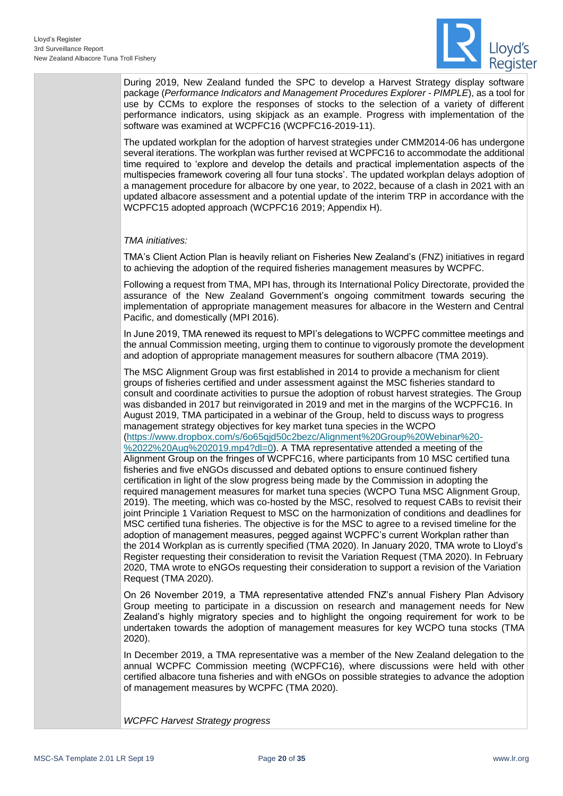

During 2019, New Zealand funded the SPC to develop a Harvest Strategy display software package (*Performance Indicators and Management Procedures Explorer - PIMPLE*), as a tool for use by CCMs to explore the responses of stocks to the selection of a variety of different performance indicators, using skipjack as an example. Progress with implementation of the software was examined at WCPFC16 [\(WCPFC16-2019-11\)](https://www.wcpfc.int/node/44336).

The updated workplan for the adoption of harvest strategies under CMM2014-06 has undergone several iterations. The workplan was further revised at WCPFC16 to accommodate the additional time required to 'explore and develop the details and practical implementation aspects of the multispecies framework covering all four tuna stocks'. The updated workplan delays adoption of a management procedure for albacore by one year, to 2022, because of a clash in 2021 with an updated albacore assessment and a potential update of the interim TRP in accordance with the WCPFC15 adopted approach (WCPFC16 2019; Appendix H).

*TMA initiatives:*

TMA's Client Action Plan is heavily reliant on Fisheries New Zealand's (FNZ) initiatives in regard to achieving the adoption of the required fisheries management measures by WCPFC.

Following a request from TMA, MPI has, through its International Policy Directorate, provided the assurance of the New Zealand Government's ongoing commitment towards securing the implementation of appropriate management measures for albacore in the Western and Central Pacific, and domestically (MPI 2016).

In June 2019, TMA renewed its request to MPI's delegations to WCPFC committee meetings and the annual Commission meeting, urging them to continue to vigorously promote the development and adoption of appropriate management measures for southern albacore (TMA 2019).

The MSC Alignment Group was first established in 2014 to provide a mechanism for client groups of fisheries certified and under assessment against the MSC fisheries standard to consult and coordinate activities to pursue the adoption of robust harvest strategies. The Group was disbanded in 2017 but reinvigorated in 2019 and met in the margins of the WCPFC16. In August 2019, TMA participated in a webinar of the Group, held to discuss ways to progress management strategy objectives for key market tuna species in the WCPO [\(https://www.dropbox.com/s/6o65qjd50c2bezc/Alignment%20Group%20Webinar%20-](https://www.dropbox.com/s/6o65qjd50c2bezc/Alignment%20Group%20Webinar%20-%2022%20Aug%202019.mp4?dl=0) [%2022%20Aug%202019.mp4?dl=0\)](https://www.dropbox.com/s/6o65qjd50c2bezc/Alignment%20Group%20Webinar%20-%2022%20Aug%202019.mp4?dl=0). A TMA representative attended a meeting of the Alignment Group on the fringes of WCPFC16, where participants from 10 MSC certified tuna fisheries and five eNGOs discussed and debated options to ensure continued fishery certification in light of the slow progress being made by the Commission in adopting the required management measures for market tuna species (WCPO Tuna MSC Alignment Group, 2019). The meeting, which was co-hosted by the MSC, resolved to request CABs to revisit their joint Principle 1 Variation Request to MSC on the harmonization of conditions and deadlines for MSC certified tuna fisheries. The objective is for the MSC to agree to a revised timeline for the adoption of management measures, pegged against WCPFC's current Workplan rather than the 2014 Workplan as is currently specified (TMA 2020). In January 2020, TMA wrote to Lloyd's Register requesting their consideration to revisit the Variation Request (TMA 2020). In February 2020, TMA wrote to eNGOs requesting their consideration to support a revision of the Variation Request (TMA 2020).

On 26 November 2019, a TMA representative attended FNZ's annual Fishery Plan Advisory Group meeting to participate in a discussion on research and management needs for New Zealand's highly migratory species and to highlight the ongoing requirement for work to be undertaken towards the adoption of management measures for key WCPO tuna stocks (TMA 2020).

In December 2019, a TMA representative was a member of the New Zealand delegation to the annual WCPFC Commission meeting (WCPFC16), where discussions were held with other certified albacore tuna fisheries and with eNGOs on possible strategies to advance the adoption of management measures by WCPFC (TMA 2020).

*WCPFC Harvest Strategy progress*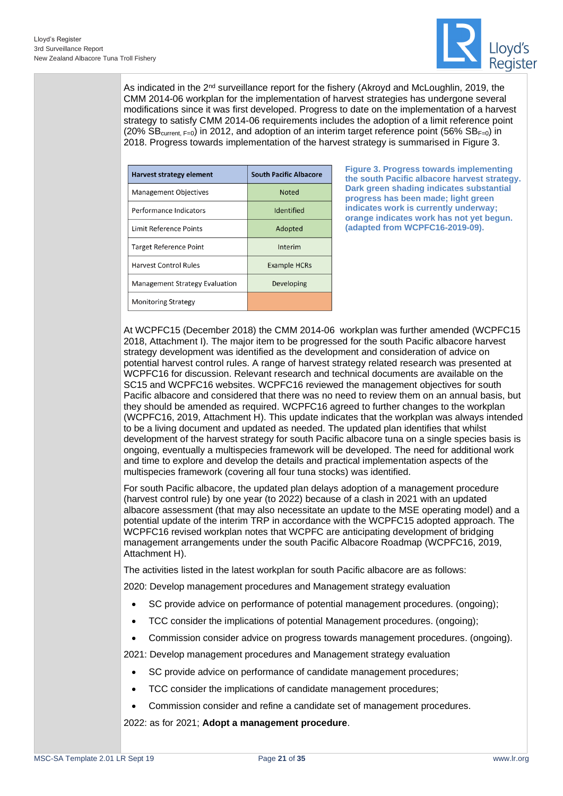

As indicated in the 2<sup>nd</sup> surveillance report for the fishery (Akroyd and McLoughlin, 2019, the CMM 2014-06 workplan for the implementation of harvest strategies has undergone several modifications since it was first developed. Progress to date on the implementation of a harvest strategy to satisfy CMM 2014-06 requirements includes the adoption of a limit reference point (20%  $\overline{\text{SB}}_{\text{current F=0}}$ ) in 2012, and adoption of an interim target reference point (56%  $\text{SB}_{\text{F=0}}$ ) in 2018. Progress towards implementation of the harvest strategy is summarised in [Figure 3.](#page-20-0)

| <b>Harvest strategy element</b>       | <b>South Pacific Albacore</b> |  |
|---------------------------------------|-------------------------------|--|
| <b>Management Objectives</b>          | <b>Noted</b>                  |  |
| Performance Indicators                | Identified                    |  |
| Limit Reference Points                | Adopted                       |  |
| <b>Target Reference Point</b>         | Interim                       |  |
| <b>Harvest Control Rules</b>          | <b>Example HCRs</b>           |  |
| <b>Management Strategy Evaluation</b> | Developing                    |  |
| <b>Monitoring Strategy</b>            |                               |  |

<span id="page-20-0"></span>**Figure 3. Progress towards implementing the south Pacific albacore harvest strategy. Dark green shading indicates substantial progress has been made; light green indicates work is currently underway; orange indicates work has not yet begun. (adapted from WCPFC16-2019-09).**

At WCPFC15 (December 2018) the CMM 2014-06 workplan was further amended (WCPFC15 2018, Attachment I). The major item to be progressed for the south Pacific albacore harvest strategy development was identified as the development and consideration of advice on potential harvest control rules. A range of harvest strategy related research was presented at WCPFC16 for discussion. Relevant research and technical documents are available on the SC15 and WCPFC16 websites. WCPFC16 reviewed the management objectives for south Pacific albacore and considered that there was no need to review them on an annual basis, but they should be amended as required. WCPFC16 agreed to further changes to the workplan (WCPFC16, 2019, Attachment H). This update indicates that the workplan was always intended to be a living document and updated as needed. The updated plan identifies that whilst development of the harvest strategy for south Pacific albacore tuna on a single species basis is ongoing, eventually a multispecies framework will be developed. The need for additional work and time to explore and develop the details and practical implementation aspects of the multispecies framework (covering all four tuna stocks) was identified.

For south Pacific albacore, the updated plan delays adoption of a management procedure (harvest control rule) by one year (to 2022) because of a clash in 2021 with an updated albacore assessment (that may also necessitate an update to the MSE operating model) and a potential update of the interim TRP in accordance with the WCPFC15 adopted approach. The WCPFC16 revised workplan notes that WCPFC are anticipating development of bridging management arrangements under the south Pacific Albacore Roadmap (WCPFC16, 2019, Attachment H).

The activities listed in the latest workplan for south Pacific albacore are as follows:

2020: Develop management procedures and Management strategy evaluation

- SC provide advice on performance of potential management procedures. (ongoing);
- TCC consider the implications of potential Management procedures. (ongoing);
- Commission consider advice on progress towards management procedures. (ongoing).

2021: Develop management procedures and Management strategy evaluation

- SC provide advice on performance of candidate management procedures;
- TCC consider the implications of candidate management procedures;
- Commission consider and refine a candidate set of management procedures.

2022: as for 2021; **Adopt a management procedure**.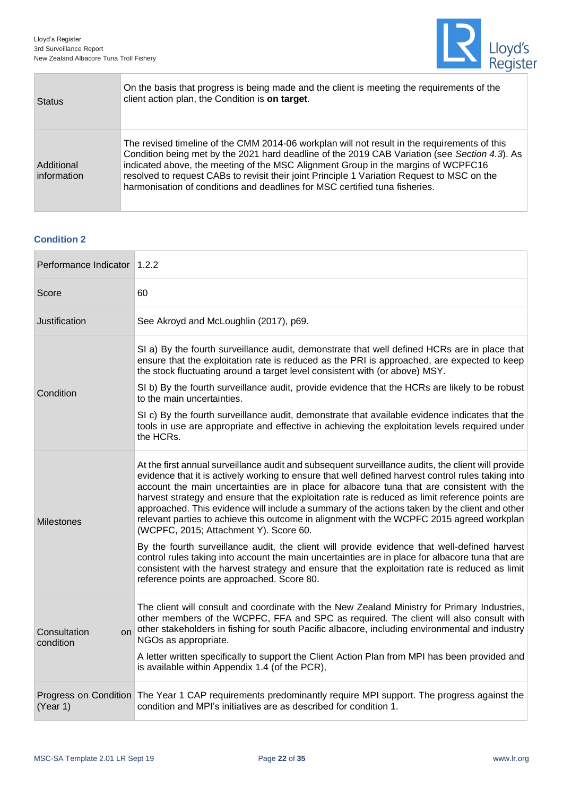

| <b>Status</b>             | On the basis that progress is being made and the client is meeting the requirements of the<br>client action plan, the Condition is on target.                                                                                                                                                                                                                                                                                                                    |
|---------------------------|------------------------------------------------------------------------------------------------------------------------------------------------------------------------------------------------------------------------------------------------------------------------------------------------------------------------------------------------------------------------------------------------------------------------------------------------------------------|
| Additional<br>information | The revised timeline of the CMM 2014-06 workplan will not result in the requirements of this<br>Condition being met by the 2021 hard deadline of the 2019 CAB Variation (see Section 4.3). As<br>indicated above, the meeting of the MSC Alignment Group in the margins of WCPFC16<br>resolved to request CABs to revisit their joint Principle 1 Variation Request to MSC on the<br>harmonisation of conditions and deadlines for MSC certified tuna fisheries. |

#### **Condition 2**

Ē

| Performance Indicator 1.2.2     |                                                                                                                                                                                                                                                                                                                                                                                                                                                                                                                                                                                                                                                   |
|---------------------------------|---------------------------------------------------------------------------------------------------------------------------------------------------------------------------------------------------------------------------------------------------------------------------------------------------------------------------------------------------------------------------------------------------------------------------------------------------------------------------------------------------------------------------------------------------------------------------------------------------------------------------------------------------|
| Score                           | 60                                                                                                                                                                                                                                                                                                                                                                                                                                                                                                                                                                                                                                                |
| Justification                   | See Akroyd and McLoughlin (2017), p69.                                                                                                                                                                                                                                                                                                                                                                                                                                                                                                                                                                                                            |
|                                 | SI a) By the fourth surveillance audit, demonstrate that well defined HCRs are in place that<br>ensure that the exploitation rate is reduced as the PRI is approached, are expected to keep<br>the stock fluctuating around a target level consistent with (or above) MSY.                                                                                                                                                                                                                                                                                                                                                                        |
| Condition                       | SI b) By the fourth surveillance audit, provide evidence that the HCRs are likely to be robust<br>to the main uncertainties.                                                                                                                                                                                                                                                                                                                                                                                                                                                                                                                      |
|                                 | SI c) By the fourth surveillance audit, demonstrate that available evidence indicates that the<br>tools in use are appropriate and effective in achieving the exploitation levels required under<br>the HCRs.                                                                                                                                                                                                                                                                                                                                                                                                                                     |
| <b>Milestones</b>               | At the first annual surveillance audit and subsequent surveillance audits, the client will provide<br>evidence that it is actively working to ensure that well defined harvest control rules taking into<br>account the main uncertainties are in place for albacore tuna that are consistent with the<br>harvest strategy and ensure that the exploitation rate is reduced as limit reference points are<br>approached. This evidence will include a summary of the actions taken by the client and other<br>relevant parties to achieve this outcome in alignment with the WCPFC 2015 agreed workplan<br>(WCPFC, 2015; Attachment Y). Score 60. |
|                                 | By the fourth surveillance audit, the client will provide evidence that well-defined harvest<br>control rules taking into account the main uncertainties are in place for albacore tuna that are<br>consistent with the harvest strategy and ensure that the exploitation rate is reduced as limit<br>reference points are approached. Score 80.                                                                                                                                                                                                                                                                                                  |
| Consultation<br>on<br>condition | The client will consult and coordinate with the New Zealand Ministry for Primary Industries,<br>other members of the WCPFC, FFA and SPC as required. The client will also consult with<br>other stakeholders in fishing for south Pacific albacore, including environmental and industry<br>NGOs as appropriate.<br>A letter written specifically to support the Client Action Plan from MPI has been provided and                                                                                                                                                                                                                                |
|                                 | is available within Appendix 1.4 (of the PCR),                                                                                                                                                                                                                                                                                                                                                                                                                                                                                                                                                                                                    |
| (Year 1)                        | Progress on Condition The Year 1 CAP requirements predominantly require MPI support. The progress against the<br>condition and MPI's initiatives are as described for condition 1.                                                                                                                                                                                                                                                                                                                                                                                                                                                                |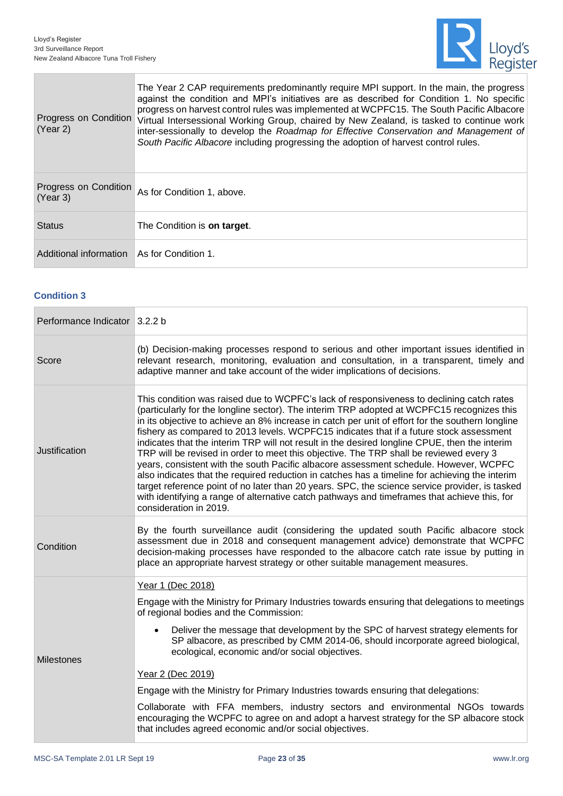۰

r.



| Progress on Condition<br>(Year 2) | The Year 2 CAP requirements predominantly require MPI support. In the main, the progress<br>against the condition and MPI's initiatives are as described for Condition 1. No specific<br>progress on harvest control rules was implemented at WCPFC15. The South Pacific Albacore<br>Virtual Intersessional Working Group, chaired by New Zealand, is tasked to continue work<br>inter-sessionally to develop the Roadmap for Effective Conservation and Management of<br>South Pacific Albacore including progressing the adoption of harvest control rules. |
|-----------------------------------|---------------------------------------------------------------------------------------------------------------------------------------------------------------------------------------------------------------------------------------------------------------------------------------------------------------------------------------------------------------------------------------------------------------------------------------------------------------------------------------------------------------------------------------------------------------|
| Progress on Condition<br>(Year 3) | As for Condition 1, above.                                                                                                                                                                                                                                                                                                                                                                                                                                                                                                                                    |
| <b>Status</b>                     | The Condition is on target.                                                                                                                                                                                                                                                                                                                                                                                                                                                                                                                                   |
| Additional information            | As for Condition 1.                                                                                                                                                                                                                                                                                                                                                                                                                                                                                                                                           |

#### **Condition 3**

| Performance Indicator 3.2.2 b |                                                                                                                                                                                                                                                                                                                                                                                                                                                                                                                                                                                                                                                                                                                                                                                                                                                                                                                                                                                                         |
|-------------------------------|---------------------------------------------------------------------------------------------------------------------------------------------------------------------------------------------------------------------------------------------------------------------------------------------------------------------------------------------------------------------------------------------------------------------------------------------------------------------------------------------------------------------------------------------------------------------------------------------------------------------------------------------------------------------------------------------------------------------------------------------------------------------------------------------------------------------------------------------------------------------------------------------------------------------------------------------------------------------------------------------------------|
| Score                         | (b) Decision-making processes respond to serious and other important issues identified in<br>relevant research, monitoring, evaluation and consultation, in a transparent, timely and<br>adaptive manner and take account of the wider implications of decisions.                                                                                                                                                                                                                                                                                                                                                                                                                                                                                                                                                                                                                                                                                                                                       |
| Justification                 | This condition was raised due to WCPFC's lack of responsiveness to declining catch rates<br>(particularly for the longline sector). The interim TRP adopted at WCPFC15 recognizes this<br>in its objective to achieve an 8% increase in catch per unit of effort for the southern longline<br>fishery as compared to 2013 levels. WCPFC15 indicates that if a future stock assessment<br>indicates that the interim TRP will not result in the desired longline CPUE, then the interim<br>TRP will be revised in order to meet this objective. The TRP shall be reviewed every 3<br>years, consistent with the south Pacific albacore assessment schedule. However, WCPFC<br>also indicates that the required reduction in catches has a timeline for achieving the interim<br>target reference point of no later than 20 years. SPC, the science service provider, is tasked<br>with identifying a range of alternative catch pathways and timeframes that achieve this, for<br>consideration in 2019. |
| Condition                     | By the fourth surveillance audit (considering the updated south Pacific albacore stock<br>assessment due in 2018 and consequent management advice) demonstrate that WCPFC<br>decision-making processes have responded to the albacore catch rate issue by putting in<br>place an appropriate harvest strategy or other suitable management measures.                                                                                                                                                                                                                                                                                                                                                                                                                                                                                                                                                                                                                                                    |
|                               | Year 1 (Dec 2018)                                                                                                                                                                                                                                                                                                                                                                                                                                                                                                                                                                                                                                                                                                                                                                                                                                                                                                                                                                                       |
|                               | Engage with the Ministry for Primary Industries towards ensuring that delegations to meetings<br>of regional bodies and the Commission:                                                                                                                                                                                                                                                                                                                                                                                                                                                                                                                                                                                                                                                                                                                                                                                                                                                                 |
| <b>Milestones</b>             | Deliver the message that development by the SPC of harvest strategy elements for<br>SP albacore, as prescribed by CMM 2014-06, should incorporate agreed biological,<br>ecological, economic and/or social objectives.                                                                                                                                                                                                                                                                                                                                                                                                                                                                                                                                                                                                                                                                                                                                                                                  |
|                               | Year 2 (Dec 2019)                                                                                                                                                                                                                                                                                                                                                                                                                                                                                                                                                                                                                                                                                                                                                                                                                                                                                                                                                                                       |
|                               | Engage with the Ministry for Primary Industries towards ensuring that delegations:                                                                                                                                                                                                                                                                                                                                                                                                                                                                                                                                                                                                                                                                                                                                                                                                                                                                                                                      |
|                               | Collaborate with FFA members, industry sectors and environmental NGOs towards<br>encouraging the WCPFC to agree on and adopt a harvest strategy for the SP albacore stock<br>that includes agreed economic and/or social objectives.                                                                                                                                                                                                                                                                                                                                                                                                                                                                                                                                                                                                                                                                                                                                                                    |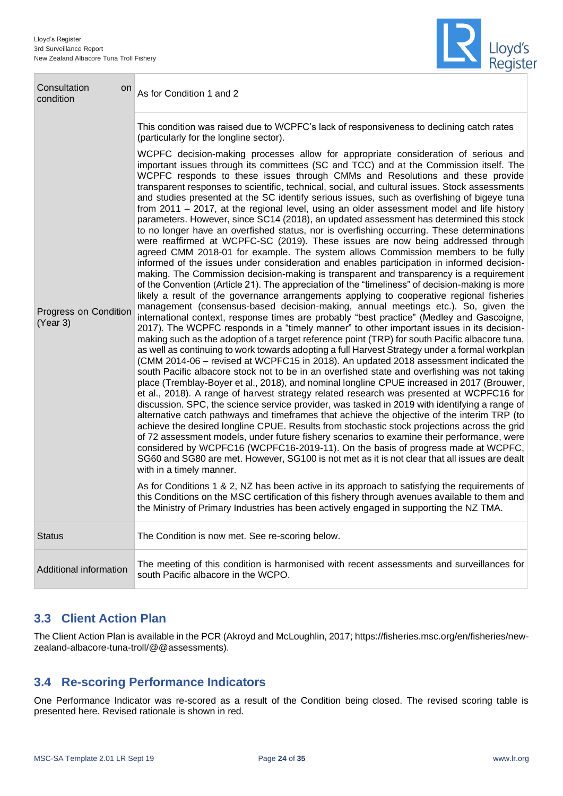П



| Consultation<br>on<br>condition   | As for Condition 1 and 2                                                                                                                                                                                                                                                                                                                                                                                                                                                                                                                                                                                                                                                                                                                                                                                                                                                                                                                                                                                                                                                                                                                                                                                                                                                                                                                                                                                                                                                                                                                                                                                                                                                                                                                                                                                                                                                                                                                                                                                                                                                                                                                                                                                                                                                                                                                                                                                                                                                                                                                   |  |
|-----------------------------------|--------------------------------------------------------------------------------------------------------------------------------------------------------------------------------------------------------------------------------------------------------------------------------------------------------------------------------------------------------------------------------------------------------------------------------------------------------------------------------------------------------------------------------------------------------------------------------------------------------------------------------------------------------------------------------------------------------------------------------------------------------------------------------------------------------------------------------------------------------------------------------------------------------------------------------------------------------------------------------------------------------------------------------------------------------------------------------------------------------------------------------------------------------------------------------------------------------------------------------------------------------------------------------------------------------------------------------------------------------------------------------------------------------------------------------------------------------------------------------------------------------------------------------------------------------------------------------------------------------------------------------------------------------------------------------------------------------------------------------------------------------------------------------------------------------------------------------------------------------------------------------------------------------------------------------------------------------------------------------------------------------------------------------------------------------------------------------------------------------------------------------------------------------------------------------------------------------------------------------------------------------------------------------------------------------------------------------------------------------------------------------------------------------------------------------------------------------------------------------------------------------------------------------------------|--|
|                                   | This condition was raised due to WCPFC's lack of responsiveness to declining catch rates<br>(particularly for the longline sector).<br>WCPFC decision-making processes allow for appropriate consideration of serious and<br>important issues through its committees (SC and TCC) and at the Commission itself. The<br>WCPFC responds to these issues through CMMs and Resolutions and these provide<br>transparent responses to scientific, technical, social, and cultural issues. Stock assessments<br>and studies presented at the SC identify serious issues, such as overfishing of bigeye tuna                                                                                                                                                                                                                                                                                                                                                                                                                                                                                                                                                                                                                                                                                                                                                                                                                                                                                                                                                                                                                                                                                                                                                                                                                                                                                                                                                                                                                                                                                                                                                                                                                                                                                                                                                                                                                                                                                                                                      |  |
| Progress on Condition<br>(Year 3) | from 2011 - 2017, at the regional level, using an older assessment model and life history<br>parameters. However, since SC14 (2018), an updated assessment has determined this stock<br>to no longer have an overfished status, nor is overfishing occurring. These determinations<br>were reaffirmed at WCPFC-SC (2019). These issues are now being addressed through<br>agreed CMM 2018-01 for example. The system allows Commission members to be fully<br>informed of the issues under consideration and enables participation in informed decision-<br>making. The Commission decision-making is transparent and transparency is a requirement<br>of the Convention (Article 21). The appreciation of the "timeliness" of decision-making is more<br>likely a result of the governance arrangements applying to cooperative regional fisheries<br>management (consensus-based decision-making, annual meetings etc.). So, given the<br>international context, response times are probably "best practice" (Medley and Gascoigne,<br>2017). The WCPFC responds in a "timely manner" to other important issues in its decision-<br>making such as the adoption of a target reference point (TRP) for south Pacific albacore tuna,<br>as well as continuing to work towards adopting a full Harvest Strategy under a formal workplan<br>(CMM 2014-06 - revised at WCPFC15 in 2018). An updated 2018 assessment indicated the<br>south Pacific albacore stock not to be in an overfished state and overfishing was not taking<br>place (Tremblay-Boyer et al., 2018), and nominal longline CPUE increased in 2017 (Brouwer,<br>et al., 2018). A range of harvest strategy related research was presented at WCPFC16 for<br>discussion. SPC, the science service provider, was tasked in 2019 with identifying a range of<br>alternative catch pathways and timeframes that achieve the objective of the interim TRP (to<br>achieve the desired longline CPUE. Results from stochastic stock projections across the grid<br>of 72 assessment models, under future fishery scenarios to examine their performance, were<br>considered by WCPFC16 (WCPFC16-2019-11). On the basis of progress made at WCPFC,<br>SG60 and SG80 are met. However, SG100 is not met as it is not clear that all issues are dealt<br>with in a timely manner.<br>As for Conditions 1 & 2, NZ has been active in its approach to satisfying the requirements of<br>this Conditions on the MSC certification of this fishery through avenues available to them and |  |
| <b>Status</b>                     | The Condition is now met. See re-scoring below.                                                                                                                                                                                                                                                                                                                                                                                                                                                                                                                                                                                                                                                                                                                                                                                                                                                                                                                                                                                                                                                                                                                                                                                                                                                                                                                                                                                                                                                                                                                                                                                                                                                                                                                                                                                                                                                                                                                                                                                                                                                                                                                                                                                                                                                                                                                                                                                                                                                                                            |  |
| Additional information            | The meeting of this condition is harmonised with recent assessments and surveillances for<br>south Pacific albacore in the WCPO.                                                                                                                                                                                                                                                                                                                                                                                                                                                                                                                                                                                                                                                                                                                                                                                                                                                                                                                                                                                                                                                                                                                                                                                                                                                                                                                                                                                                                                                                                                                                                                                                                                                                                                                                                                                                                                                                                                                                                                                                                                                                                                                                                                                                                                                                                                                                                                                                           |  |

## <span id="page-23-0"></span>**3.3 Client Action Plan**

The Client Action Plan is available in the PCR (Akroyd and McLoughlin, 2017[; https://fisheries.msc.org/en/fisheries/new](https://fisheries.msc.org/en/fisheries/new-zealand-albacore-tuna-troll/@@assessments)[zealand-albacore-tuna-troll/@@assessments\)](https://fisheries.msc.org/en/fisheries/new-zealand-albacore-tuna-troll/@@assessments).

## <span id="page-23-1"></span>**3.4 Re-scoring Performance Indicators**

One Performance Indicator was re-scored as a result of the Condition being closed. The revised scoring table is presented here. Revised rationale is shown in red.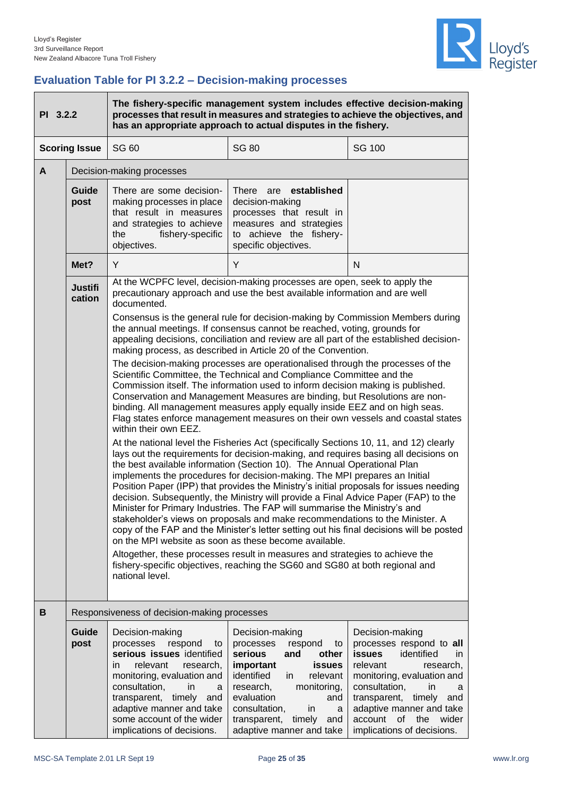

## <span id="page-24-0"></span>**Evaluation Table for PI 3.2.2 – Decision-making processes**

| PI 3.2.2 |                          | The fishery-specific management system includes effective decision-making<br>processes that result in measures and strategies to achieve the objectives, and<br>has an appropriate approach to actual disputes in the fishery.                                                                                                                                                                                                                                                                                                                                                                                                                                                                                                                                                                                                              |                                                                                                                                                                                                                                                                                    |                                                                                                                                                                                                                                                                                        |
|----------|--------------------------|---------------------------------------------------------------------------------------------------------------------------------------------------------------------------------------------------------------------------------------------------------------------------------------------------------------------------------------------------------------------------------------------------------------------------------------------------------------------------------------------------------------------------------------------------------------------------------------------------------------------------------------------------------------------------------------------------------------------------------------------------------------------------------------------------------------------------------------------|------------------------------------------------------------------------------------------------------------------------------------------------------------------------------------------------------------------------------------------------------------------------------------|----------------------------------------------------------------------------------------------------------------------------------------------------------------------------------------------------------------------------------------------------------------------------------------|
|          | <b>Scoring Issue</b>     | <b>SG 60</b>                                                                                                                                                                                                                                                                                                                                                                                                                                                                                                                                                                                                                                                                                                                                                                                                                                | <b>SG 80</b>                                                                                                                                                                                                                                                                       | <b>SG 100</b>                                                                                                                                                                                                                                                                          |
| A        |                          | Decision-making processes                                                                                                                                                                                                                                                                                                                                                                                                                                                                                                                                                                                                                                                                                                                                                                                                                   |                                                                                                                                                                                                                                                                                    |                                                                                                                                                                                                                                                                                        |
|          | Guide<br>post            | There are some decision-<br>making processes in place<br>that result in measures<br>and strategies to achieve<br>fishery-specific<br>the<br>objectives.                                                                                                                                                                                                                                                                                                                                                                                                                                                                                                                                                                                                                                                                                     | established<br><b>There</b><br>are<br>decision-making<br>processes that result in<br>measures and strategies<br>to achieve the fishery-<br>specific objectives.                                                                                                                    |                                                                                                                                                                                                                                                                                        |
|          | Met?                     | Y                                                                                                                                                                                                                                                                                                                                                                                                                                                                                                                                                                                                                                                                                                                                                                                                                                           | Y                                                                                                                                                                                                                                                                                  | N                                                                                                                                                                                                                                                                                      |
|          | <b>Justifi</b><br>cation | At the WCPFC level, decision-making processes are open, seek to apply the<br>precautionary approach and use the best available information and are well<br>documented.                                                                                                                                                                                                                                                                                                                                                                                                                                                                                                                                                                                                                                                                      |                                                                                                                                                                                                                                                                                    |                                                                                                                                                                                                                                                                                        |
|          |                          | Consensus is the general rule for decision-making by Commission Members during<br>the annual meetings. If consensus cannot be reached, voting, grounds for<br>appealing decisions, conciliation and review are all part of the established decision-<br>making process, as described in Article 20 of the Convention.                                                                                                                                                                                                                                                                                                                                                                                                                                                                                                                       |                                                                                                                                                                                                                                                                                    |                                                                                                                                                                                                                                                                                        |
|          |                          | The decision-making processes are operationalised through the processes of the<br>Scientific Committee, the Technical and Compliance Committee and the<br>Commission itself. The information used to inform decision making is published.<br>Conservation and Management Measures are binding, but Resolutions are non-<br>binding. All management measures apply equally inside EEZ and on high seas.<br>Flag states enforce management measures on their own vessels and coastal states<br>within their own EEZ.                                                                                                                                                                                                                                                                                                                          |                                                                                                                                                                                                                                                                                    |                                                                                                                                                                                                                                                                                        |
|          |                          | At the national level the Fisheries Act (specifically Sections 10, 11, and 12) clearly<br>lays out the requirements for decision-making, and requires basing all decisions on<br>the best available information (Section 10). The Annual Operational Plan<br>implements the procedures for decision-making. The MPI prepares an Initial<br>Position Paper (IPP) that provides the Ministry's initial proposals for issues needing<br>decision. Subsequently, the Ministry will provide a Final Advice Paper (FAP) to the<br>Minister for Primary Industries. The FAP will summarise the Ministry's and<br>stakeholder's views on proposals and make recommendations to the Minister. A<br>copy of the FAP and the Minister's letter setting out his final decisions will be posted<br>on the MPI website as soon as these become available. |                                                                                                                                                                                                                                                                                    |                                                                                                                                                                                                                                                                                        |
|          |                          | Altogether, these processes result in measures and strategies to achieve the<br>fishery-specific objectives, reaching the SG60 and SG80 at both regional and<br>national level.                                                                                                                                                                                                                                                                                                                                                                                                                                                                                                                                                                                                                                                             |                                                                                                                                                                                                                                                                                    |                                                                                                                                                                                                                                                                                        |
| B        |                          | Responsiveness of decision-making processes                                                                                                                                                                                                                                                                                                                                                                                                                                                                                                                                                                                                                                                                                                                                                                                                 |                                                                                                                                                                                                                                                                                    |                                                                                                                                                                                                                                                                                        |
|          | Guide<br>post            | Decision-making<br>processes<br>respond<br>to<br>serious issues identified<br>relevant<br>research,<br>in.<br>monitoring, evaluation and<br>consultation,<br>in.<br>a<br>transparent, timely<br>and<br>adaptive manner and take<br>some account of the wider<br>implications of decisions.                                                                                                                                                                                                                                                                                                                                                                                                                                                                                                                                                  | Decision-making<br>processes<br>respond<br>to<br>serious<br>other<br>and<br>important<br><b>issues</b><br>identified<br>relevant<br>in.<br>research,<br>monitoring,<br>evaluation<br>and<br>consultation,<br>in.<br>a<br>transparent,<br>timely<br>and<br>adaptive manner and take | Decision-making<br>processes respond to all<br>identified<br>issues<br>in.<br>relevant<br>research,<br>monitoring, evaluation and<br>consultation,<br>in<br>a<br>transparent, timely<br>and<br>adaptive manner and take<br>the<br>wider<br>account<br>0f<br>implications of decisions. |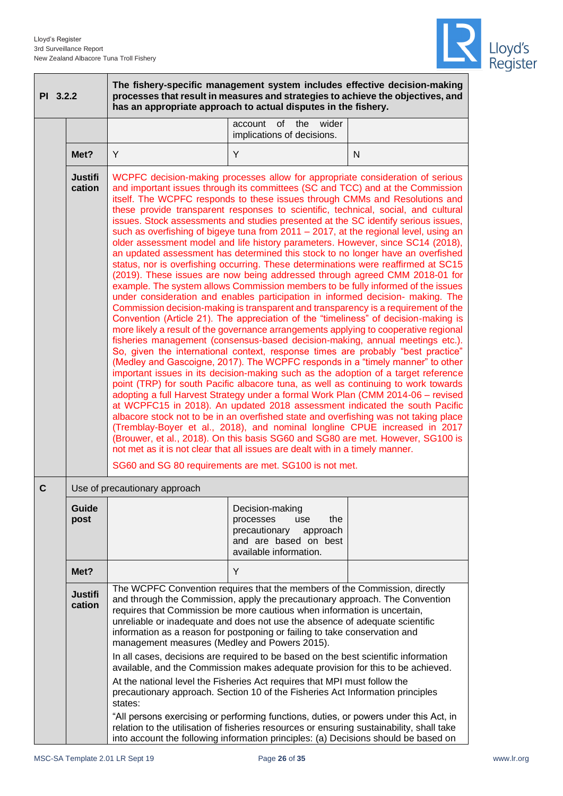

| PI 3.2.2                                                                                                                                                                                                                                                                                                                                                                                                                                                                                                                                                                                                                                                                                                                                                                                                                                                                                                                                                                                                                                                                                                                                                                                                                                                                                                                                                                                                                                                                                                                                                                                                                                                                                                                                                                                                                                                                                                                                                                                                                                                                                                                                                                                                                                                                                                                                         |                          | The fishery-specific management system includes effective decision-making<br>processes that result in measures and strategies to achieve the objectives, and<br>has an appropriate approach to actual disputes in the fishery.                                                                                                                                                                                                                                                                                                                                                                                                                                                                                                                                                                                                                                                                                                                                                                                                                                                         |                                                                                                                            |   |
|--------------------------------------------------------------------------------------------------------------------------------------------------------------------------------------------------------------------------------------------------------------------------------------------------------------------------------------------------------------------------------------------------------------------------------------------------------------------------------------------------------------------------------------------------------------------------------------------------------------------------------------------------------------------------------------------------------------------------------------------------------------------------------------------------------------------------------------------------------------------------------------------------------------------------------------------------------------------------------------------------------------------------------------------------------------------------------------------------------------------------------------------------------------------------------------------------------------------------------------------------------------------------------------------------------------------------------------------------------------------------------------------------------------------------------------------------------------------------------------------------------------------------------------------------------------------------------------------------------------------------------------------------------------------------------------------------------------------------------------------------------------------------------------------------------------------------------------------------------------------------------------------------------------------------------------------------------------------------------------------------------------------------------------------------------------------------------------------------------------------------------------------------------------------------------------------------------------------------------------------------------------------------------------------------------------------------------------------------|--------------------------|----------------------------------------------------------------------------------------------------------------------------------------------------------------------------------------------------------------------------------------------------------------------------------------------------------------------------------------------------------------------------------------------------------------------------------------------------------------------------------------------------------------------------------------------------------------------------------------------------------------------------------------------------------------------------------------------------------------------------------------------------------------------------------------------------------------------------------------------------------------------------------------------------------------------------------------------------------------------------------------------------------------------------------------------------------------------------------------|----------------------------------------------------------------------------------------------------------------------------|---|
|                                                                                                                                                                                                                                                                                                                                                                                                                                                                                                                                                                                                                                                                                                                                                                                                                                                                                                                                                                                                                                                                                                                                                                                                                                                                                                                                                                                                                                                                                                                                                                                                                                                                                                                                                                                                                                                                                                                                                                                                                                                                                                                                                                                                                                                                                                                                                  |                          |                                                                                                                                                                                                                                                                                                                                                                                                                                                                                                                                                                                                                                                                                                                                                                                                                                                                                                                                                                                                                                                                                        | account<br>of<br>the<br>wider<br>implications of decisions.                                                                |   |
|                                                                                                                                                                                                                                                                                                                                                                                                                                                                                                                                                                                                                                                                                                                                                                                                                                                                                                                                                                                                                                                                                                                                                                                                                                                                                                                                                                                                                                                                                                                                                                                                                                                                                                                                                                                                                                                                                                                                                                                                                                                                                                                                                                                                                                                                                                                                                  | Met?                     | Y                                                                                                                                                                                                                                                                                                                                                                                                                                                                                                                                                                                                                                                                                                                                                                                                                                                                                                                                                                                                                                                                                      | Y                                                                                                                          | N |
| <b>Justifi</b><br>WCPFC decision-making processes allow for appropriate consideration of serious<br>cation<br>and important issues through its committees (SC and TCC) and at the Commission<br>itself. The WCPFC responds to these issues through CMMs and Resolutions and<br>these provide transparent responses to scientific, technical, social, and cultural<br>issues. Stock assessments and studies presented at the SC identify serious issues,<br>such as overfishing of bigeye tuna from 2011 - 2017, at the regional level, using an<br>older assessment model and life history parameters. However, since SC14 (2018),<br>an updated assessment has determined this stock to no longer have an overfished<br>status, nor is overfishing occurring. These determinations were reaffirmed at SC15<br>(2019). These issues are now being addressed through agreed CMM 2018-01 for<br>example. The system allows Commission members to be fully informed of the issues<br>under consideration and enables participation in informed decision- making. The<br>Commission decision-making is transparent and transparency is a requirement of the<br>Convention (Article 21). The appreciation of the "timeliness" of decision-making is<br>more likely a result of the governance arrangements applying to cooperative regional<br>fisheries management (consensus-based decision-making, annual meetings etc.).<br>So, given the international context, response times are probably "best practice"<br>(Medley and Gascoigne, 2017). The WCPFC responds in a "timely manner" to other<br>important issues in its decision-making such as the adoption of a target reference<br>point (TRP) for south Pacific albacore tuna, as well as continuing to work towards<br>adopting a full Harvest Strategy under a formal Work Plan (CMM 2014-06 - revised<br>at WCPFC15 in 2018). An updated 2018 assessment indicated the south Pacific<br>albacore stock not to be in an overfished state and overfishing was not taking place<br>(Tremblay-Boyer et al., 2018), and nominal longline CPUE increased in 2017<br>(Brouwer, et al., 2018). On this basis SG60 and SG80 are met. However, SG100 is<br>not met as it is not clear that all issues are dealt with in a timely manner.<br>SG60 and SG 80 requirements are met. SG100 is not met. |                          |                                                                                                                                                                                                                                                                                                                                                                                                                                                                                                                                                                                                                                                                                                                                                                                                                                                                                                                                                                                                                                                                                        |                                                                                                                            |   |
| C                                                                                                                                                                                                                                                                                                                                                                                                                                                                                                                                                                                                                                                                                                                                                                                                                                                                                                                                                                                                                                                                                                                                                                                                                                                                                                                                                                                                                                                                                                                                                                                                                                                                                                                                                                                                                                                                                                                                                                                                                                                                                                                                                                                                                                                                                                                                                |                          | Use of precautionary approach                                                                                                                                                                                                                                                                                                                                                                                                                                                                                                                                                                                                                                                                                                                                                                                                                                                                                                                                                                                                                                                          |                                                                                                                            |   |
|                                                                                                                                                                                                                                                                                                                                                                                                                                                                                                                                                                                                                                                                                                                                                                                                                                                                                                                                                                                                                                                                                                                                                                                                                                                                                                                                                                                                                                                                                                                                                                                                                                                                                                                                                                                                                                                                                                                                                                                                                                                                                                                                                                                                                                                                                                                                                  | Guide<br>post            |                                                                                                                                                                                                                                                                                                                                                                                                                                                                                                                                                                                                                                                                                                                                                                                                                                                                                                                                                                                                                                                                                        | Decision-making<br>processes<br>use<br>the<br>precautionary<br>approach<br>and are based on best<br>available information. |   |
|                                                                                                                                                                                                                                                                                                                                                                                                                                                                                                                                                                                                                                                                                                                                                                                                                                                                                                                                                                                                                                                                                                                                                                                                                                                                                                                                                                                                                                                                                                                                                                                                                                                                                                                                                                                                                                                                                                                                                                                                                                                                                                                                                                                                                                                                                                                                                  | Met?                     |                                                                                                                                                                                                                                                                                                                                                                                                                                                                                                                                                                                                                                                                                                                                                                                                                                                                                                                                                                                                                                                                                        | Y                                                                                                                          |   |
|                                                                                                                                                                                                                                                                                                                                                                                                                                                                                                                                                                                                                                                                                                                                                                                                                                                                                                                                                                                                                                                                                                                                                                                                                                                                                                                                                                                                                                                                                                                                                                                                                                                                                                                                                                                                                                                                                                                                                                                                                                                                                                                                                                                                                                                                                                                                                  | <b>Justifi</b><br>cation | The WCPFC Convention requires that the members of the Commission, directly<br>and through the Commission, apply the precautionary approach. The Convention<br>requires that Commission be more cautious when information is uncertain,<br>unreliable or inadequate and does not use the absence of adequate scientific<br>information as a reason for postponing or failing to take conservation and<br>management measures (Medley and Powers 2015).<br>In all cases, decisions are required to be based on the best scientific information<br>available, and the Commission makes adequate provision for this to be achieved.<br>At the national level the Fisheries Act requires that MPI must follow the<br>precautionary approach. Section 10 of the Fisheries Act Information principles<br>states:<br>"All persons exercising or performing functions, duties, or powers under this Act, in<br>relation to the utilisation of fisheries resources or ensuring sustainability, shall take<br>into account the following information principles: (a) Decisions should be based on |                                                                                                                            |   |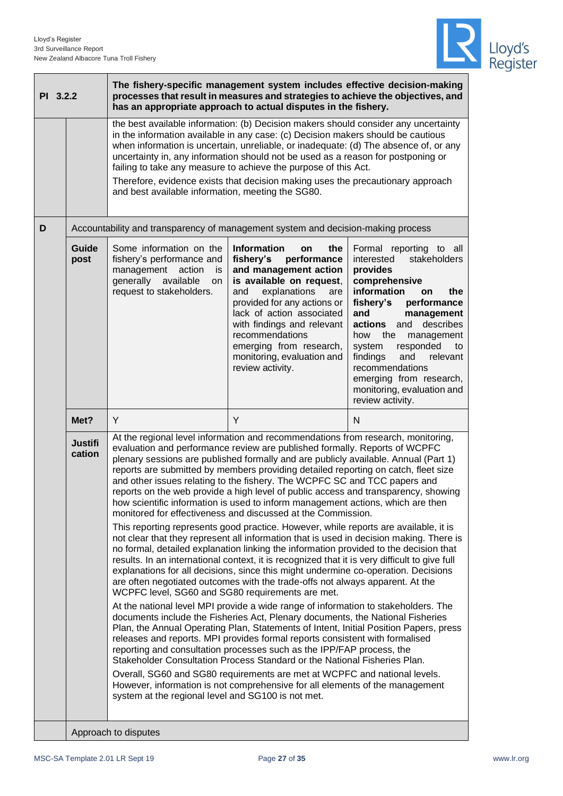

|                                                                                                                                                                                                                                                                                                                                                                                                                                                                                                                                                                                                                                                                                                                                                                                                                                                                                                                                                                                                                                                                                                                                                                                                                                                                                                                                                                                                                                                                                                                                                                                                                                                                                                                                                                                                                                                                                                                                                                                                                                 | The fishery-specific management system includes effective decision-making<br>processes that result in measures and strategies to achieve the objectives, and<br>PI 3.2.2<br>has an appropriate approach to actual disputes in the fishery. |                                                                                                                                                                                                                                                                                                                                                                                                                                                                                                                                                                |                                                                                                                                                                                                                                                                                                                                          |                                                                                                                                                                                                                                                                                                                                                                                     |
|---------------------------------------------------------------------------------------------------------------------------------------------------------------------------------------------------------------------------------------------------------------------------------------------------------------------------------------------------------------------------------------------------------------------------------------------------------------------------------------------------------------------------------------------------------------------------------------------------------------------------------------------------------------------------------------------------------------------------------------------------------------------------------------------------------------------------------------------------------------------------------------------------------------------------------------------------------------------------------------------------------------------------------------------------------------------------------------------------------------------------------------------------------------------------------------------------------------------------------------------------------------------------------------------------------------------------------------------------------------------------------------------------------------------------------------------------------------------------------------------------------------------------------------------------------------------------------------------------------------------------------------------------------------------------------------------------------------------------------------------------------------------------------------------------------------------------------------------------------------------------------------------------------------------------------------------------------------------------------------------------------------------------------|--------------------------------------------------------------------------------------------------------------------------------------------------------------------------------------------------------------------------------------------|----------------------------------------------------------------------------------------------------------------------------------------------------------------------------------------------------------------------------------------------------------------------------------------------------------------------------------------------------------------------------------------------------------------------------------------------------------------------------------------------------------------------------------------------------------------|------------------------------------------------------------------------------------------------------------------------------------------------------------------------------------------------------------------------------------------------------------------------------------------------------------------------------------------|-------------------------------------------------------------------------------------------------------------------------------------------------------------------------------------------------------------------------------------------------------------------------------------------------------------------------------------------------------------------------------------|
|                                                                                                                                                                                                                                                                                                                                                                                                                                                                                                                                                                                                                                                                                                                                                                                                                                                                                                                                                                                                                                                                                                                                                                                                                                                                                                                                                                                                                                                                                                                                                                                                                                                                                                                                                                                                                                                                                                                                                                                                                                 |                                                                                                                                                                                                                                            | the best available information: (b) Decision makers should consider any uncertainty<br>in the information available in any case: (c) Decision makers should be cautious<br>when information is uncertain, unreliable, or inadequate: (d) The absence of, or any<br>uncertainty in, any information should not be used as a reason for postponing or<br>failing to take any measure to achieve the purpose of this Act.<br>Therefore, evidence exists that decision making uses the precautionary approach<br>and best available information, meeting the SG80. |                                                                                                                                                                                                                                                                                                                                          |                                                                                                                                                                                                                                                                                                                                                                                     |
| D                                                                                                                                                                                                                                                                                                                                                                                                                                                                                                                                                                                                                                                                                                                                                                                                                                                                                                                                                                                                                                                                                                                                                                                                                                                                                                                                                                                                                                                                                                                                                                                                                                                                                                                                                                                                                                                                                                                                                                                                                               |                                                                                                                                                                                                                                            | Accountability and transparency of management system and decision-making process                                                                                                                                                                                                                                                                                                                                                                                                                                                                               |                                                                                                                                                                                                                                                                                                                                          |                                                                                                                                                                                                                                                                                                                                                                                     |
|                                                                                                                                                                                                                                                                                                                                                                                                                                                                                                                                                                                                                                                                                                                                                                                                                                                                                                                                                                                                                                                                                                                                                                                                                                                                                                                                                                                                                                                                                                                                                                                                                                                                                                                                                                                                                                                                                                                                                                                                                                 | Guide<br>post                                                                                                                                                                                                                              | Some information on the<br>fishery's performance and<br>management<br>action<br>is<br>generally<br>available<br>on<br>request to stakeholders.                                                                                                                                                                                                                                                                                                                                                                                                                 | <b>Information</b><br>the<br>on<br>performance<br>fishery's<br>and management action<br>is available on request,<br>and<br>explanations<br>are<br>provided for any actions or<br>lack of action associated<br>with findings and relevant<br>recommendations<br>emerging from research,<br>monitoring, evaluation and<br>review activity. | Formal reporting to all<br>stakeholders<br>interested<br>provides<br>comprehensive<br>information<br>the<br>on<br>fishery's<br>performance<br>and<br>management<br>actions and<br>describes<br>how<br>the<br>management<br>responded<br>system<br>to<br>findings<br>and<br>relevant<br>recommendations<br>emerging from research,<br>monitoring, evaluation and<br>review activity. |
|                                                                                                                                                                                                                                                                                                                                                                                                                                                                                                                                                                                                                                                                                                                                                                                                                                                                                                                                                                                                                                                                                                                                                                                                                                                                                                                                                                                                                                                                                                                                                                                                                                                                                                                                                                                                                                                                                                                                                                                                                                 | Met?                                                                                                                                                                                                                                       | Y                                                                                                                                                                                                                                                                                                                                                                                                                                                                                                                                                              | Y                                                                                                                                                                                                                                                                                                                                        | N                                                                                                                                                                                                                                                                                                                                                                                   |
| At the regional level information and recommendations from research, monitoring,<br><b>Justifi</b><br>evaluation and performance review are published formally. Reports of WCPFC<br>cation<br>plenary sessions are published formally and are publicly available. Annual (Part 1)<br>reports are submitted by members providing detailed reporting on catch, fleet size<br>and other issues relating to the fishery. The WCPFC SC and TCC papers and<br>reports on the web provide a high level of public access and transparency, showing<br>how scientific information is used to inform management actions, which are then<br>monitored for effectiveness and discussed at the Commission.<br>This reporting represents good practice. However, while reports are available, it is<br>not clear that they represent all information that is used in decision making. There is<br>no formal, detailed explanation linking the information provided to the decision that<br>results. In an international context, it is recognized that it is very difficult to give full<br>explanations for all decisions, since this might undermine co-operation. Decisions<br>are often negotiated outcomes with the trade-offs not always apparent. At the<br>WCPFC level, SG60 and SG80 requirements are met.<br>At the national level MPI provide a wide range of information to stakeholders. The<br>documents include the Fisheries Act, Plenary documents, the National Fisheries<br>Plan, the Annual Operating Plan, Statements of Intent, Initial Position Papers, press<br>releases and reports. MPI provides formal reports consistent with formalised<br>reporting and consultation processes such as the IPP/FAP process, the<br>Stakeholder Consultation Process Standard or the National Fisheries Plan.<br>Overall, SG60 and SG80 requirements are met at WCPFC and national levels.<br>However, information is not comprehensive for all elements of the management<br>system at the regional level and SG100 is not met. |                                                                                                                                                                                                                                            |                                                                                                                                                                                                                                                                                                                                                                                                                                                                                                                                                                |                                                                                                                                                                                                                                                                                                                                          |                                                                                                                                                                                                                                                                                                                                                                                     |
|                                                                                                                                                                                                                                                                                                                                                                                                                                                                                                                                                                                                                                                                                                                                                                                                                                                                                                                                                                                                                                                                                                                                                                                                                                                                                                                                                                                                                                                                                                                                                                                                                                                                                                                                                                                                                                                                                                                                                                                                                                 |                                                                                                                                                                                                                                            | Approach to disputes                                                                                                                                                                                                                                                                                                                                                                                                                                                                                                                                           |                                                                                                                                                                                                                                                                                                                                          |                                                                                                                                                                                                                                                                                                                                                                                     |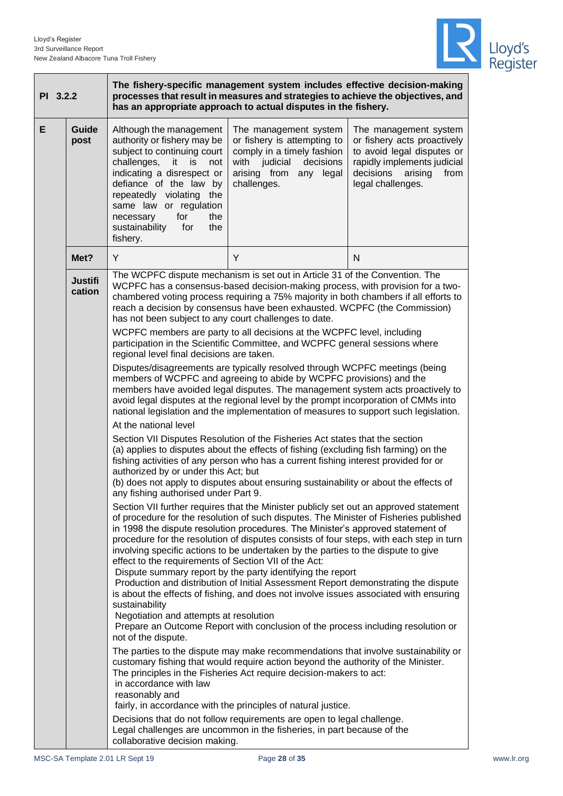

| PI 3.2.2 | The fishery-specific management system includes effective decision-making<br>processes that result in measures and strategies to achieve the objectives, and<br>has an appropriate approach to actual disputes in the fishery. |                                                                                                                                                                                                                                                                                                                                                                                                                                       |                                                                                                                                                                                                                                                                                                                                                                                                                                                                                                                                                                                                                                                                                                                                                                                                                                                                                                                                                                                                                                                                                                                                                                                                                                                                                                                                                                                                                                                                                                                                                                                                                                                                                                                                                                                                                                                                                                                                                                                                                                                                                                                                                                                                                                                                                                                                                                                                                                                                                                                                        |                                                                                                                                                                     |
|----------|--------------------------------------------------------------------------------------------------------------------------------------------------------------------------------------------------------------------------------|---------------------------------------------------------------------------------------------------------------------------------------------------------------------------------------------------------------------------------------------------------------------------------------------------------------------------------------------------------------------------------------------------------------------------------------|----------------------------------------------------------------------------------------------------------------------------------------------------------------------------------------------------------------------------------------------------------------------------------------------------------------------------------------------------------------------------------------------------------------------------------------------------------------------------------------------------------------------------------------------------------------------------------------------------------------------------------------------------------------------------------------------------------------------------------------------------------------------------------------------------------------------------------------------------------------------------------------------------------------------------------------------------------------------------------------------------------------------------------------------------------------------------------------------------------------------------------------------------------------------------------------------------------------------------------------------------------------------------------------------------------------------------------------------------------------------------------------------------------------------------------------------------------------------------------------------------------------------------------------------------------------------------------------------------------------------------------------------------------------------------------------------------------------------------------------------------------------------------------------------------------------------------------------------------------------------------------------------------------------------------------------------------------------------------------------------------------------------------------------------------------------------------------------------------------------------------------------------------------------------------------------------------------------------------------------------------------------------------------------------------------------------------------------------------------------------------------------------------------------------------------------------------------------------------------------------------------------------------------------|---------------------------------------------------------------------------------------------------------------------------------------------------------------------|
| E        | Guide<br>post                                                                                                                                                                                                                  | Although the management<br>authority or fishery may be<br>subject to continuing court<br>challenges,<br>-it<br>is<br>not<br>indicating a disrespect or<br>defiance of the law by<br>repeatedly violating the<br>same law or regulation<br>for<br>the<br>necessary<br>sustainability<br>for<br>the<br>fishery.                                                                                                                         | The management system<br>or fishery is attempting to<br>comply in a timely fashion<br>with judicial<br>decisions<br>arising from<br>any legal<br>challenges.                                                                                                                                                                                                                                                                                                                                                                                                                                                                                                                                                                                                                                                                                                                                                                                                                                                                                                                                                                                                                                                                                                                                                                                                                                                                                                                                                                                                                                                                                                                                                                                                                                                                                                                                                                                                                                                                                                                                                                                                                                                                                                                                                                                                                                                                                                                                                                           | The management system<br>or fishery acts proactively<br>to avoid legal disputes or<br>rapidly implements judicial<br>decisions arising<br>from<br>legal challenges. |
|          | Met?                                                                                                                                                                                                                           | Y                                                                                                                                                                                                                                                                                                                                                                                                                                     | Y                                                                                                                                                                                                                                                                                                                                                                                                                                                                                                                                                                                                                                                                                                                                                                                                                                                                                                                                                                                                                                                                                                                                                                                                                                                                                                                                                                                                                                                                                                                                                                                                                                                                                                                                                                                                                                                                                                                                                                                                                                                                                                                                                                                                                                                                                                                                                                                                                                                                                                                                      | N                                                                                                                                                                   |
|          | <b>Justifi</b><br>cation                                                                                                                                                                                                       | has not been subject to any court challenges to date.<br>regional level final decisions are taken.<br>At the national level<br>authorized by or under this Act; but<br>any fishing authorised under Part 9.<br>effect to the requirements of Section VII of the Act:<br>sustainability<br>Negotiation and attempts at resolution<br>not of the dispute.<br>in accordance with law<br>reasonably and<br>collaborative decision making. | The WCPFC dispute mechanism is set out in Article 31 of the Convention. The<br>WCPFC has a consensus-based decision-making process, with provision for a two-<br>chambered voting process requiring a 75% majority in both chambers if all efforts to<br>reach a decision by consensus have been exhausted. WCPFC (the Commission)<br>WCPFC members are party to all decisions at the WCPFC level, including<br>participation in the Scientific Committee, and WCPFC general sessions where<br>Disputes/disagreements are typically resolved through WCPFC meetings (being<br>members of WCPFC and agreeing to abide by WCPFC provisions) and the<br>members have avoided legal disputes. The management system acts proactively to<br>avoid legal disputes at the regional level by the prompt incorporation of CMMs into<br>national legislation and the implementation of measures to support such legislation.<br>Section VII Disputes Resolution of the Fisheries Act states that the section<br>(a) applies to disputes about the effects of fishing (excluding fish farming) on the<br>fishing activities of any person who has a current fishing interest provided for or<br>(b) does not apply to disputes about ensuring sustainability or about the effects of<br>Section VII further requires that the Minister publicly set out an approved statement<br>of procedure for the resolution of such disputes. The Minister of Fisheries published<br>in 1998 the dispute resolution procedures. The Minister's approved statement of<br>procedure for the resolution of disputes consists of four steps, with each step in turn<br>involving specific actions to be undertaken by the parties to the dispute to give<br>Dispute summary report by the party identifying the report<br>Production and distribution of Initial Assessment Report demonstrating the dispute<br>is about the effects of fishing, and does not involve issues associated with ensuring<br>Prepare an Outcome Report with conclusion of the process including resolution or<br>The parties to the dispute may make recommendations that involve sustainability or<br>customary fishing that would require action beyond the authority of the Minister.<br>The principles in the Fisheries Act require decision-makers to act:<br>fairly, in accordance with the principles of natural justice.<br>Decisions that do not follow requirements are open to legal challenge.<br>Legal challenges are uncommon in the fisheries, in part because of the |                                                                                                                                                                     |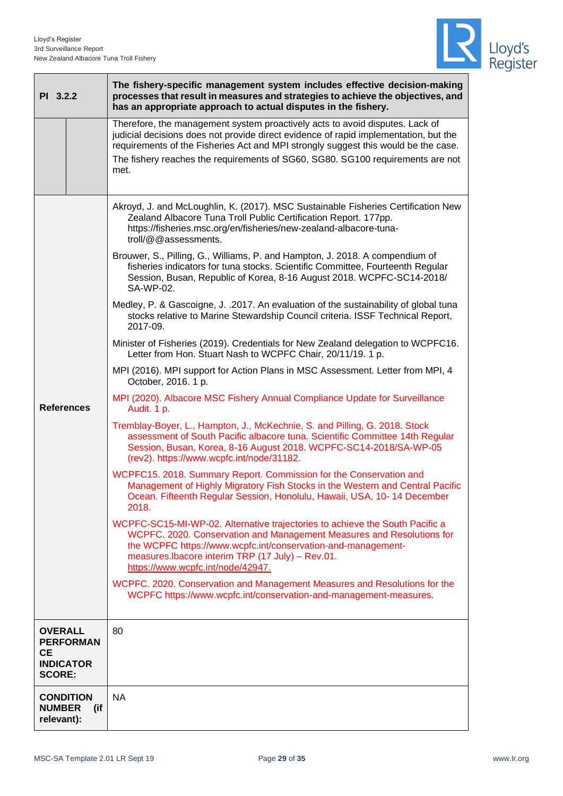

| PI 3.2.2                                                         |                  | The fishery-specific management system includes effective decision-making<br>processes that result in measures and strategies to achieve the objectives, and<br>has an appropriate approach to actual disputes in the fishery.                                                                                                                       |  |  |  |  |
|------------------------------------------------------------------|------------------|------------------------------------------------------------------------------------------------------------------------------------------------------------------------------------------------------------------------------------------------------------------------------------------------------------------------------------------------------|--|--|--|--|
|                                                                  |                  | Therefore, the management system proactively acts to avoid disputes. Lack of<br>judicial decisions does not provide direct evidence of rapid implementation, but the<br>requirements of the Fisheries Act and MPI strongly suggest this would be the case.<br>The fishery reaches the requirements of SG60, SG80. SG100 requirements are not<br>met. |  |  |  |  |
|                                                                  |                  | Akroyd, J. and McLoughlin, K. (2017). MSC Sustainable Fisheries Certification New<br>Zealand Albacore Tuna Troll Public Certification Report. 177pp.<br>https://fisheries.msc.org/en/fisheries/new-zealand-albacore-tuna-<br>troll/@@assessments.                                                                                                    |  |  |  |  |
|                                                                  |                  | Brouwer, S., Pilling, G., Williams, P. and Hampton, J. 2018. A compendium of<br>fisheries indicators for tuna stocks. Scientific Committee, Fourteenth Regular<br>Session, Busan, Republic of Korea, 8-16 August 2018. WCPFC-SC14-2018/<br>SA-WP-02.                                                                                                 |  |  |  |  |
|                                                                  |                  | Medley, P. & Gascoigne, J. .2017. An evaluation of the sustainability of global tuna<br>stocks relative to Marine Stewardship Council criteria. ISSF Technical Report,<br>2017-09.                                                                                                                                                                   |  |  |  |  |
|                                                                  |                  | Minister of Fisheries (2019). Credentials for New Zealand delegation to WCPFC16.<br>Letter from Hon. Stuart Nash to WCPFC Chair, 20/11/19. 1 p.                                                                                                                                                                                                      |  |  |  |  |
|                                                                  |                  | MPI (2016). MPI support for Action Plans in MSC Assessment. Letter from MPI, 4<br>October, 2016. 1 p.                                                                                                                                                                                                                                                |  |  |  |  |
| <b>References</b>                                                |                  | MPI (2020). Albacore MSC Fishery Annual Compliance Update for Surveillance<br>Audit. 1 p.                                                                                                                                                                                                                                                            |  |  |  |  |
|                                                                  |                  | Tremblay-Boyer, L., Hampton, J., McKechnie, S. and Pilling, G. 2018. Stock<br>assessment of South Pacific albacore tuna. Scientific Committee 14th Regular<br>Session, Busan, Korea, 8-16 August 2018. WCPFC-SC14-2018/SA-WP-05<br>(rev2). https://www.wcpfc.int/node/31182.                                                                         |  |  |  |  |
|                                                                  |                  | WCPFC15. 2018. Summary Report. Commission for the Conservation and<br>Management of Highly Migratory Fish Stocks in the Western and Central Pacific<br>Ocean. Fifteenth Regular Session, Honolulu, Hawaii, USA, 10-14 December<br>2018.                                                                                                              |  |  |  |  |
|                                                                  |                  | WCPFC-SC15-MI-WP-02. Alternative trajectories to achieve the South Pacific a<br>WCPFC. 2020. Conservation and Management Measures and Resolutions for<br>the WCPFC https://www.wcpfc.int/conservation-and-management-<br>measures.lbacore interim TRP (17 July) - Rev.01.<br>https://www.wcpfc.int/node/42947.                                       |  |  |  |  |
|                                                                  |                  | WCPFC. 2020. Conservation and Management Measures and Resolutions for the<br>WCPFC https://www.wcpfc.int/conservation-and-management-measures.                                                                                                                                                                                                       |  |  |  |  |
| <b>OVERALL</b><br><b>CE</b><br><b>INDICATOR</b><br><b>SCORE:</b> | <b>PERFORMAN</b> | 80                                                                                                                                                                                                                                                                                                                                                   |  |  |  |  |
| <b>CONDITION</b><br><b>NUMBER</b><br>relevant):                  | (if)             | <b>NA</b>                                                                                                                                                                                                                                                                                                                                            |  |  |  |  |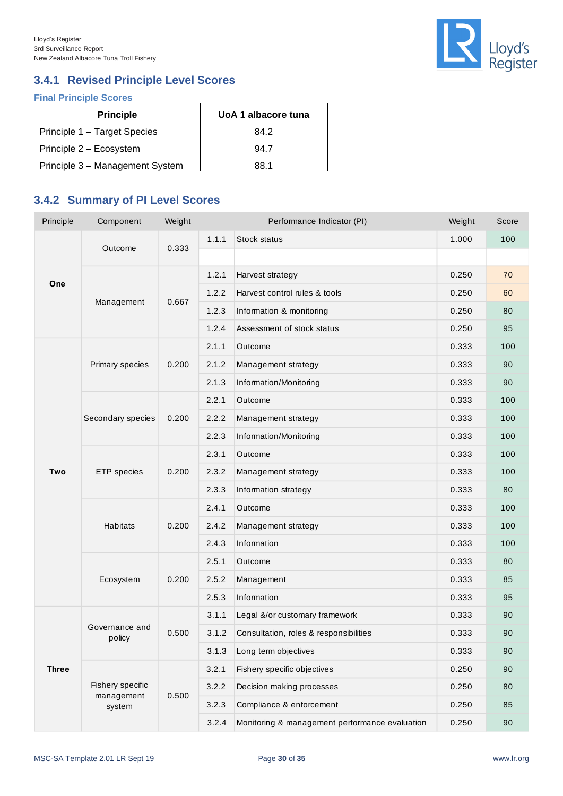

## <span id="page-29-0"></span>**3.4.1 Revised Principle Level Scores**

**Final Principle Scores**

| <b>Principle</b>                | UoA 1 albacore tuna |
|---------------------------------|---------------------|
| Principle 1 - Target Species    | 84.2                |
| Principle 2 - Ecosystem         | 94.7                |
| Principle 3 - Management System | 88.1                |

## <span id="page-29-1"></span>**3.4.2 Summary of PI Level Scores**

| Principle    | Component                                | Weight |       | Performance Indicator (PI)                     | Weight | Score |
|--------------|------------------------------------------|--------|-------|------------------------------------------------|--------|-------|
|              |                                          | 0.333  | 1.1.1 | <b>Stock status</b>                            | 1.000  | 100   |
|              | Outcome                                  |        |       |                                                |        |       |
|              |                                          |        | 1.2.1 | Harvest strategy                               | 0.250  | 70    |
| One          | Management                               | 0.667  | 1.2.2 | Harvest control rules & tools                  | 0.250  | 60    |
|              |                                          |        | 1.2.3 | Information & monitoring                       | 0.250  | 80    |
|              |                                          |        | 1.2.4 | Assessment of stock status                     | 0.250  | 95    |
|              |                                          | 0.200  | 2.1.1 | Outcome                                        | 0.333  | 100   |
|              | Primary species                          |        | 2.1.2 | Management strategy                            | 0.333  | 90    |
|              |                                          |        | 2.1.3 | Information/Monitoring                         | 0.333  | 90    |
|              |                                          |        | 2.2.1 | Outcome                                        | 0.333  | 100   |
|              | Secondary species                        | 0.200  | 2.2.2 | Management strategy                            | 0.333  | 100   |
|              |                                          |        | 2.2.3 | Information/Monitoring                         | 0.333  | 100   |
|              | ETP species                              |        | 2.3.1 | Outcome                                        | 0.333  | 100   |
| Two          |                                          | 0.200  | 2.3.2 | Management strategy                            | 0.333  | 100   |
|              |                                          |        | 2.3.3 | Information strategy                           | 0.333  | 80    |
|              | Habitats                                 |        | 2.4.1 | Outcome                                        | 0.333  | 100   |
|              |                                          | 0.200  | 2.4.2 | Management strategy                            | 0.333  | 100   |
|              |                                          |        | 2.4.3 | Information                                    | 0.333  | 100   |
|              |                                          |        | 2.5.1 | Outcome                                        | 0.333  | 80    |
|              | Ecosystem                                | 0.200  | 2.5.2 | Management                                     | 0.333  | 85    |
|              |                                          |        | 2.5.3 | Information                                    | 0.333  | 95    |
|              | Governance and<br>policy                 | 0.500  | 3.1.1 | Legal &/or customary framework                 | 0.333  | 90    |
| <b>Three</b> |                                          |        | 3.1.2 | Consultation, roles & responsibilities         | 0.333  | 90    |
|              |                                          |        | 3.1.3 | Long term objectives                           | 0.333  | 90    |
|              |                                          | 0.500  | 3.2.1 | Fishery specific objectives                    | 0.250  | 90    |
|              | Fishery specific<br>management<br>system |        | 3.2.2 | Decision making processes                      | 0.250  | 80    |
|              |                                          |        | 3.2.3 | Compliance & enforcement                       | 0.250  | 85    |
|              |                                          |        | 3.2.4 | Monitoring & management performance evaluation | 0.250  | 90    |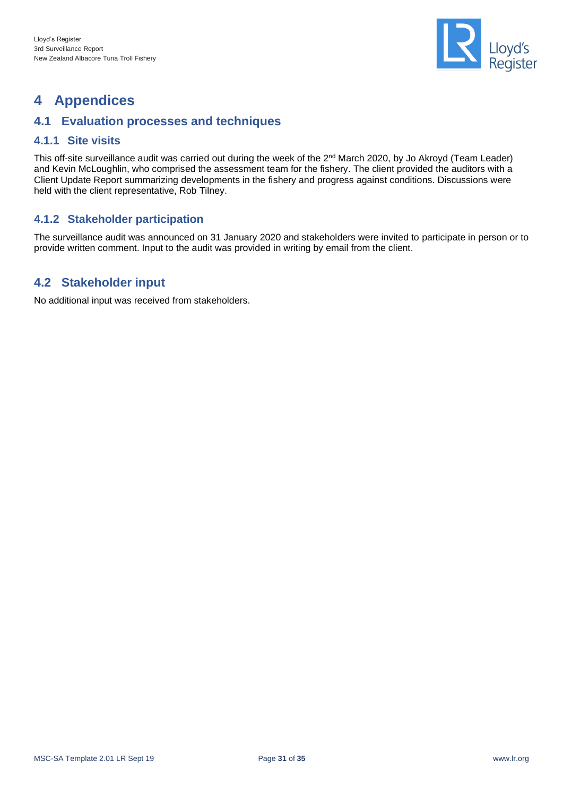

## <span id="page-30-0"></span>**4 Appendices**

## <span id="page-30-1"></span>**4.1 Evaluation processes and techniques**

### <span id="page-30-2"></span>**4.1.1 Site visits**

This off-site surveillance audit was carried out during the week of the 2<sup>nd</sup> March 2020, by Jo Akroyd (Team Leader) and Kevin McLoughlin, who comprised the assessment team for the fishery. The client provided the auditors with a Client Update Report summarizing developments in the fishery and progress against conditions. Discussions were held with the client representative, Rob Tilney.

### <span id="page-30-3"></span>**4.1.2 Stakeholder participation**

The surveillance audit was announced on 31 January 2020 and stakeholders were invited to participate in person or to provide written comment. Input to the audit was provided in writing by email from the client.

## <span id="page-30-4"></span>**4.2 Stakeholder input**

No additional input was received from stakeholders.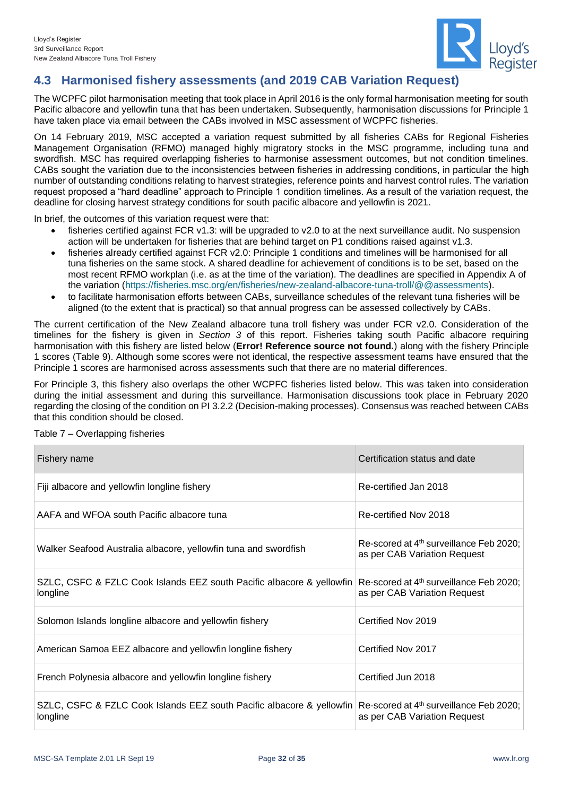

## <span id="page-31-0"></span>**4.3 Harmonised fishery assessments (and 2019 CAB Variation Request)**

The WCPFC pilot harmonisation meeting that took place in April 2016 is the only formal harmonisation meeting for south Pacific albacore and yellowfin tuna that has been undertaken. Subsequently, harmonisation discussions for Principle 1 have taken place via email between the CABs involved in MSC assessment of WCPFC fisheries.

On 14 February 2019, MSC accepted a variation request submitted by all fisheries CABs for Regional Fisheries Management Organisation (RFMO) managed highly migratory stocks in the MSC programme, including tuna and swordfish. MSC has required overlapping fisheries to harmonise assessment outcomes, but not condition timelines. CABs sought the variation due to the inconsistencies between fisheries in addressing conditions, in particular the high number of outstanding conditions relating to harvest strategies, reference points and harvest control rules. The variation request proposed a "hard deadline" approach to Principle 1 condition timelines. As a result of the variation request, the deadline for closing harvest strategy conditions for south pacific albacore and yellowfin is 2021.

In brief, the outcomes of this variation request were that:

- fisheries certified against FCR v1.3: will be upgraded to v2.0 to at the next surveillance audit. No suspension action will be undertaken for fisheries that are behind target on P1 conditions raised against v1.3.
- fisheries already certified against FCR v2.0: Principle 1 conditions and timelines will be harmonised for all tuna fisheries on the same stock. A shared deadline for achievement of conditions is to be set, based on the most recent RFMO workplan (i.e. as at the time of the variation). The deadlines are specified in Appendix A of the variation [\(https://fisheries.msc.org/en/fisheries/new-zealand-albacore-tuna-troll/@@assessments\)](https://fisheries.msc.org/en/fisheries/new-zealand-albacore-tuna-troll/@@assessments).
- to facilitate harmonisation efforts between CABs, surveillance schedules of the relevant tuna fisheries will be aligned (to the extent that is practical) so that annual progress can be assessed collectively by CABs.

The current certification of the New Zealand albacore tuna troll fishery was under FCR v2.0. Consideration of the timelines for the fishery is given in *Section [3](#page-13-0)* of this report. Fisheries taking south Pacific albacore requiring harmonisation with this fishery are listed below (**Error! Reference source not found.**) along with the fishery Principle 1 scores [\(Table 9\)](#page-32-1). Although some scores were not identical, the respective assessment teams have ensured that the Principle 1 scores are harmonised across assessments such that there are no material differences.

For Principle 3, this fishery also overlaps the other WCPFC fisheries listed below. This was taken into consideration during the initial assessment and during this surveillance. Harmonisation discussions took place in February 2020 regarding the closing of the condition on PI 3.2.2 (Decision-making processes). Consensus was reached between CABs that this condition should be closed.

Fishery name Certification status and date of the Certification status and date Fiji albacore and yellowfin longline fishery **Re-certified Jan 2018** Re-certified Jan 2018 AAFA and WFOA south Pacific albacore tuna Re-certified Nov 2018 Walker Seafood Australia albacore, yellowfin tuna and swordfish Re-scored at  $4<sup>th</sup>$  surveillance Feb 2020; as per CAB Variation Request SZLC, CSFC & FZLC Cook Islands EEZ south Pacific albacore & yellowfin longline Re-scored at 4<sup>th</sup> surveillance Feb 2020; as per CAB Variation Request Solomon Islands longline albacore and yellowfin fishery example and Certified Nov 2019 American Samoa EEZ albacore and yellowfin longline fishery **Certified Nov 2017** French Polynesia albacore and yellowfin longline fishery **Certified Jun 2018** SZLC, CSFC & FZLC Cook Islands EEZ south Pacific albacore & yellowfin longline Re-scored at 4<sup>th</sup> surveillance Feb 2020; as per CAB Variation Request

<span id="page-31-1"></span>Table 7 – Overlapping fisheries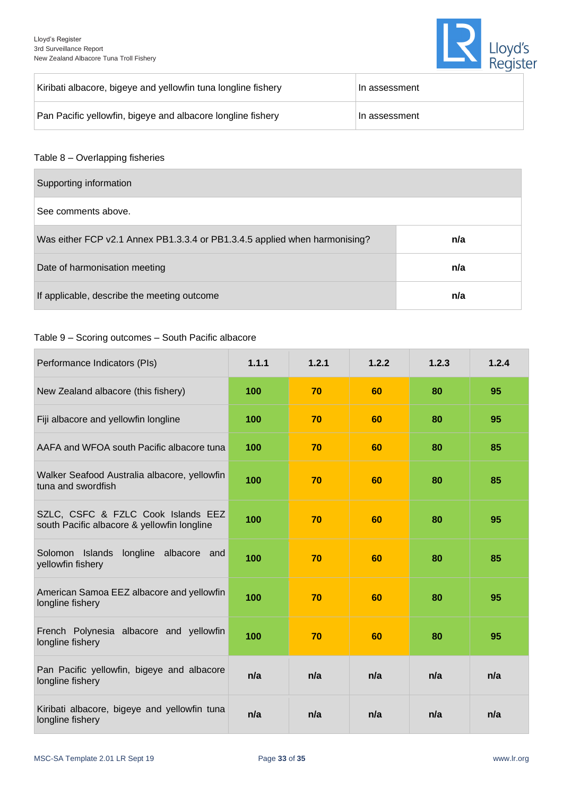

| Kiribati albacore, bigeye and yellowfin tuna longline fishery | ∣In assessment |
|---------------------------------------------------------------|----------------|
| Pan Pacific yellowfin, bigeye and albacore longline fishery   | ⊦In assessment |

#### <span id="page-32-0"></span>Table 8 – Overlapping fisheries

| Supporting information                                                     |     |
|----------------------------------------------------------------------------|-----|
| See comments above.                                                        |     |
| Was either FCP v2.1 Annex PB1.3.3.4 or PB1.3.4.5 applied when harmonising? | n/a |
| Date of harmonisation meeting                                              | n/a |
| If applicable, describe the meeting outcome                                | n/a |

#### <span id="page-32-1"></span>Table 9 – Scoring outcomes – South Pacific albacore

| Performance Indicators (PIs)                                                      | 1.1.1 | 1.2.1 | 1.2.2 | 1.2.3 | 1.2.4 |
|-----------------------------------------------------------------------------------|-------|-------|-------|-------|-------|
| New Zealand albacore (this fishery)                                               | 100   | 70    | 60    | 80    | 95    |
| Fiji albacore and yellowfin longline                                              | 100   | 70    | 60    | 80    | 95    |
| AAFA and WFOA south Pacific albacore tuna                                         | 100   | 70    | 60    | 80    | 85    |
| Walker Seafood Australia albacore, yellowfin<br>tuna and swordfish                | 100   | 70    | 60    | 80    | 85    |
| SZLC, CSFC & FZLC Cook Islands EEZ<br>south Pacific albacore & yellowfin longline | 100   | 70    | 60    | 80    | 95    |
| Solomon Islands longline albacore and<br>yellowfin fishery                        | 100   | 70    | 60    | 80    | 85    |
| American Samoa EEZ albacore and yellowfin<br>longline fishery                     | 100   | 70    | 60    | 80    | 95    |
| French Polynesia albacore and yellowfin<br>longline fishery                       | 100   | 70    | 60    | 80    | 95    |
| Pan Pacific yellowfin, bigeye and albacore<br>longline fishery                    | n/a   | n/a   | n/a   | n/a   | n/a   |
| Kiribati albacore, bigeye and yellowfin tuna<br>longline fishery                  | n/a   | n/a   | n/a   | n/a   | n/a   |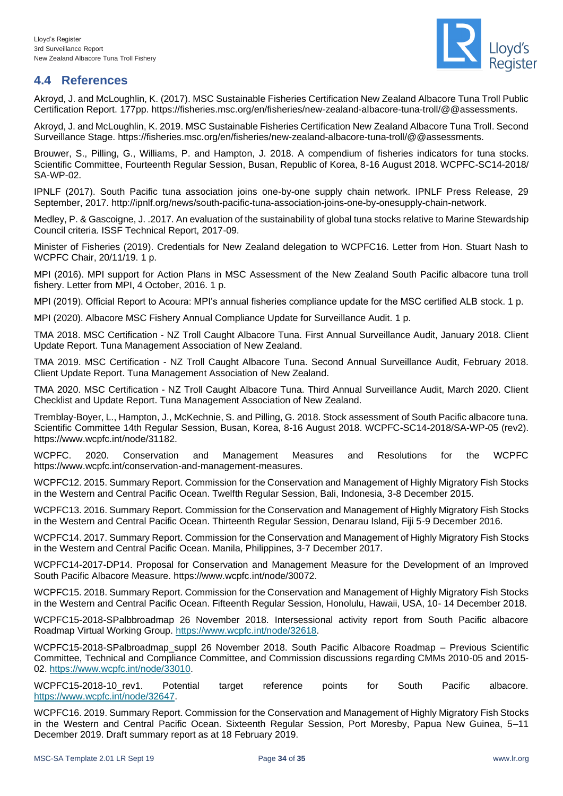

## <span id="page-33-0"></span>**4.4 References**

Akroyd, J. and McLoughlin, K. (2017). MSC Sustainable Fisheries Certification New Zealand Albacore Tuna Troll Public Certification Report. 177pp. [https://fisheries.msc.org/en/fisheries/new-zealand-albacore-tuna-troll/@@assessments.](https://fisheries.msc.org/en/fisheries/new-zealand-albacore-tuna-troll/@@assessments)

Akroyd, J. and McLoughlin, K. 2019. MSC Sustainable Fisheries Certification New Zealand Albacore Tuna Troll. Second Surveillance Stage. [https://fisheries.msc.org/en/fisheries/new-zealand-albacore-tuna-troll/@@assessments.](https://fisheries.msc.org/en/fisheries/new-zealand-albacore-tuna-troll/@@assessments)

Brouwer, S., Pilling, G., Williams, P. and Hampton, J. 2018. A compendium of fisheries indicators for tuna stocks. Scientific Committee, Fourteenth Regular Session, Busan, Republic of Korea, 8-16 August 2018. WCPFC-SC14-2018/ SA-WP-02.

IPNLF (2017). South Pacific tuna association joins one-by-one supply chain network. IPNLF Press Release, 29 September, 2017. [http://ipnlf.org/news/south-pacific-tuna-association-joins-one-by-onesupply-chain-network.](http://ipnlf.org/news/south-pacific-tuna-association-joins-one-by-onesupply-)

Medley, P. & Gascoigne, J. .2017. An evaluation of the sustainability of global tuna stocks relative to Marine Stewardship Council criteria. ISSF Technical Report, 2017-09.

Minister of Fisheries (2019). Credentials for New Zealand delegation to WCPFC16. Letter from Hon. Stuart Nash to WCPFC Chair, 20/11/19. 1 p.

MPI (2016). MPI support for Action Plans in MSC Assessment of the New Zealand South Pacific albacore tuna troll fishery. Letter from MPI, 4 October, 2016. 1 p.

MPI (2019). Official Report to Acoura: MPI's annual fisheries compliance update for the MSC certified ALB stock. 1 p.

MPI (2020). Albacore MSC Fishery Annual Compliance Update for Surveillance Audit. 1 p.

TMA 2018. MSC Certification - NZ Troll Caught Albacore Tuna. First Annual Surveillance Audit, January 2018. Client Update Report. Tuna Management Association of New Zealand.

TMA 2019. MSC Certification - NZ Troll Caught Albacore Tuna. Second Annual Surveillance Audit, February 2018. Client Update Report. Tuna Management Association of New Zealand.

TMA 2020. MSC Certification - NZ Troll Caught Albacore Tuna. Third Annual Surveillance Audit, March 2020. Client Checklist and Update Report. Tuna Management Association of New Zealand.

Tremblay-Boyer, L., Hampton, J., McKechnie, S. and Pilling, G. 2018. Stock assessment of South Pacific albacore tuna. Scientific Committee 14th Regular Session, Busan, Korea, 8-16 August 2018. WCPFC-SC14-2018/SA-WP-05 (rev2). https://www.wcpfc.int/node/31182.

WCPFC. 2020. Conservation and Management Measures and Resolutions for the WCPFC https://www.wcpfc.int/conservation-and-management-measures.

WCPFC12. 2015. Summary Report. Commission for the Conservation and Management of Highly Migratory Fish Stocks in the Western and Central Pacific Ocean. Twelfth Regular Session, Bali, Indonesia, 3-8 December 2015.

WCPFC13. 2016. Summary Report. Commission for the Conservation and Management of Highly Migratory Fish Stocks in the Western and Central Pacific Ocean. Thirteenth Regular Session, Denarau Island, Fiji 5-9 December 2016.

WCPFC14. 2017. Summary Report. Commission for the Conservation and Management of Highly Migratory Fish Stocks in the Western and Central Pacific Ocean. Manila, Philippines, 3-7 December 2017.

WCPFC14-2017-DP14. Proposal for Conservation and Management Measure for the Development of an Improved South Pacific Albacore Measure. [https://www.wcpfc.int/node/30072.](https://www.wcpfc.int/node/30072)

WCPFC15. 2018. Summary Report. Commission for the Conservation and Management of Highly Migratory Fish Stocks in the Western and Central Pacific Ocean. Fifteenth Regular Session, Honolulu, Hawaii, USA, 10- 14 December 2018.

WCPFC15-2018-SPalbbroadmap 26 November 2018. Intersessional activity report from South Pacific albacore Roadmap Virtual Working Group. [https://www.wcpfc.int/node/32618.](https://www.wcpfc.int/node/32618)

WCPFC15-2018-SPalbroadmap\_suppl 26 November 2018. South Pacific Albacore Roadmap – Previous Scientific Committee, Technical and Compliance Committee, and Commission discussions regarding CMMs 2010-05 and 2015- 02. [https://www.wcpfc.int/node/33010.](https://www.wcpfc.int/node/33010)

WCPFC15-2018-10\_rev1. Potential target reference points for South Pacific albacore. [https://www.wcpfc.int/node/32647.](https://www.wcpfc.int/node/32647)

WCPFC16. 2019. Summary Report. Commission for the Conservation and Management of Highly Migratory Fish Stocks in the Western and Central Pacific Ocean. Sixteenth Regular Session, Port Moresby, Papua New Guinea, 5–11 December 2019. Draft summary report as at 18 February 2019.